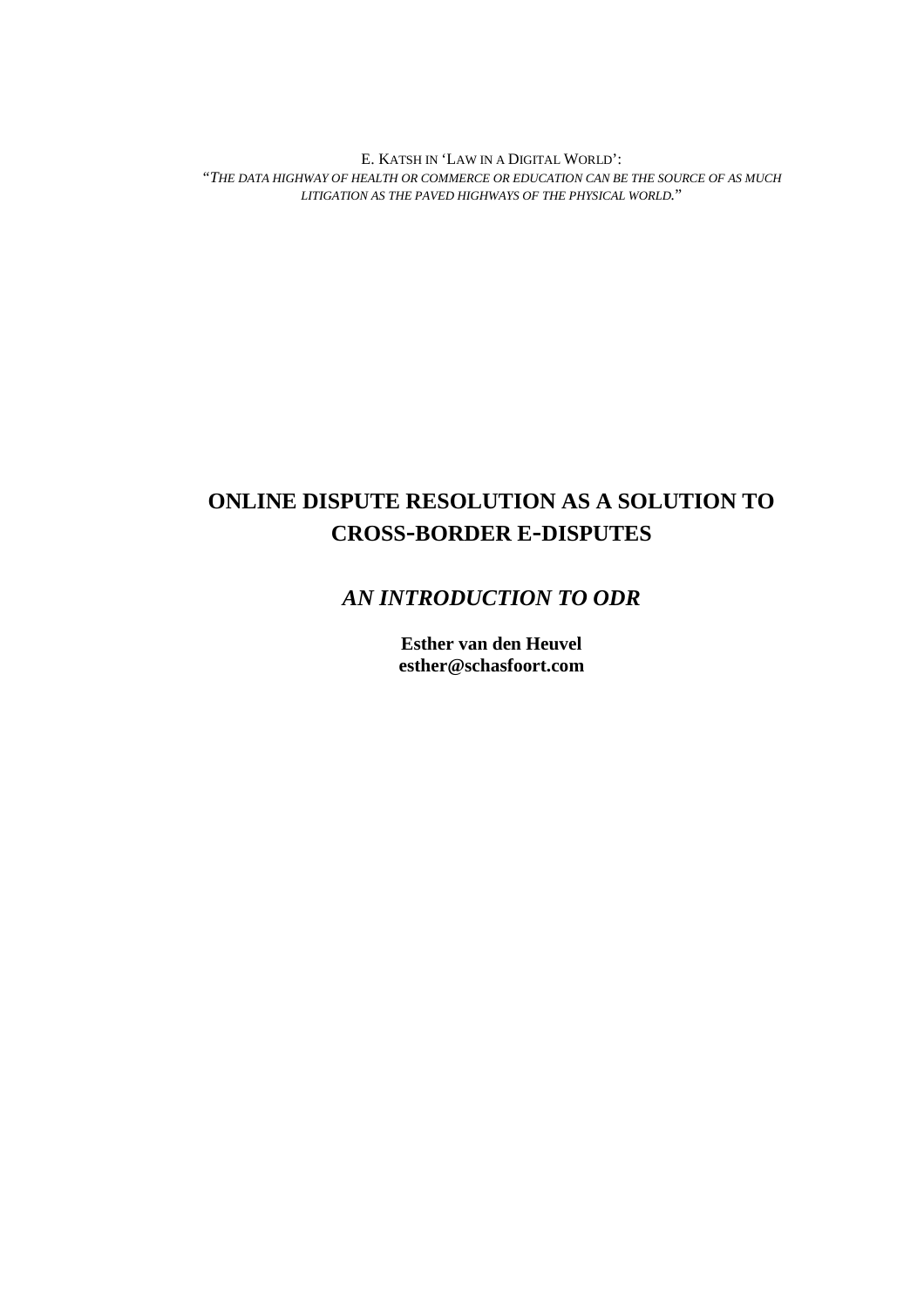E. KATSH IN 'LAW IN A DIGITAL WORLD': *"THE DATA HIGHWAY OF HEALTH OR COMMERCE OR EDUCATION CAN BE THE SOURCE OF AS MUCH LITIGATION AS THE PAVED HIGHWAYS OF THE PHYSICAL WORLD.*"

# **ONLINE DISPUTE RESOLUTION AS A SOLUTION TO CROSS-BORDER E-DISPUTES**

## *AN INTRODUCTION TO ODR*

**Esther van den Heuvel esther@schasfoort.com**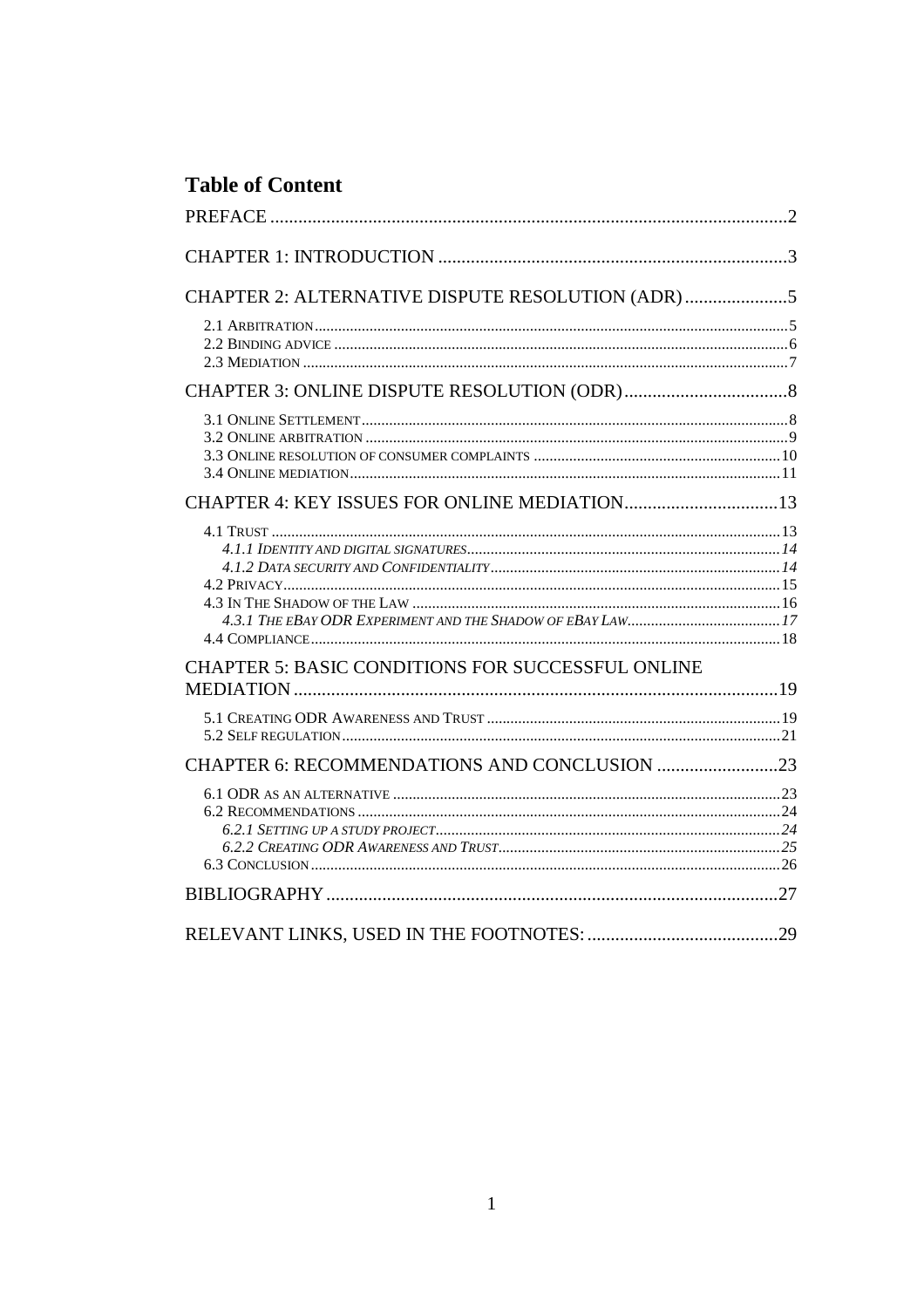# **Table of Content**

| CHAPTER 2: ALTERNATIVE DISPUTE RESOLUTION (ADR)          |  |
|----------------------------------------------------------|--|
|                                                          |  |
|                                                          |  |
|                                                          |  |
|                                                          |  |
|                                                          |  |
| <b>CHAPTER 5: BASIC CONDITIONS FOR SUCCESSFUL ONLINE</b> |  |
|                                                          |  |
|                                                          |  |
|                                                          |  |
|                                                          |  |
|                                                          |  |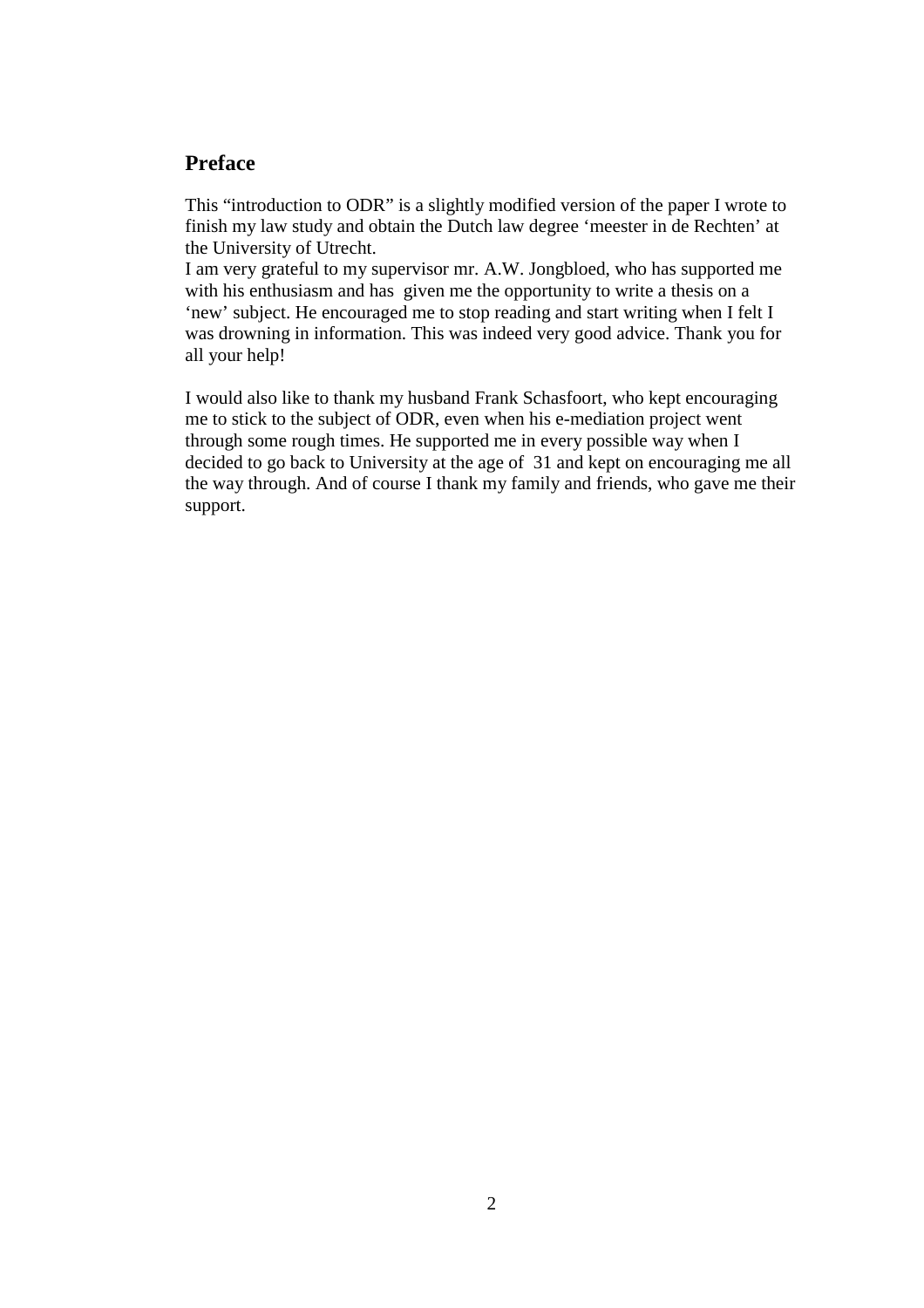## **Preface**

This "introduction to ODR" is a slightly modified version of the paper I wrote to finish my law study and obtain the Dutch law degree 'meester in de Rechten' at the University of Utrecht.

I am very grateful to my supervisor mr. A.W. Jongbloed, who has supported me with his enthusiasm and has given me the opportunity to write a thesis on a 'new' subject. He encouraged me to stop reading and start writing when I felt I was drowning in information. This was indeed very good advice. Thank you for all your help!

I would also like to thank my husband Frank Schasfoort, who kept encouraging me to stick to the subject of ODR, even when his e-mediation project went through some rough times. He supported me in every possible way when I decided to go back to University at the age of 31 and kept on encouraging me all the way through. And of course I thank my family and friends, who gave me their support.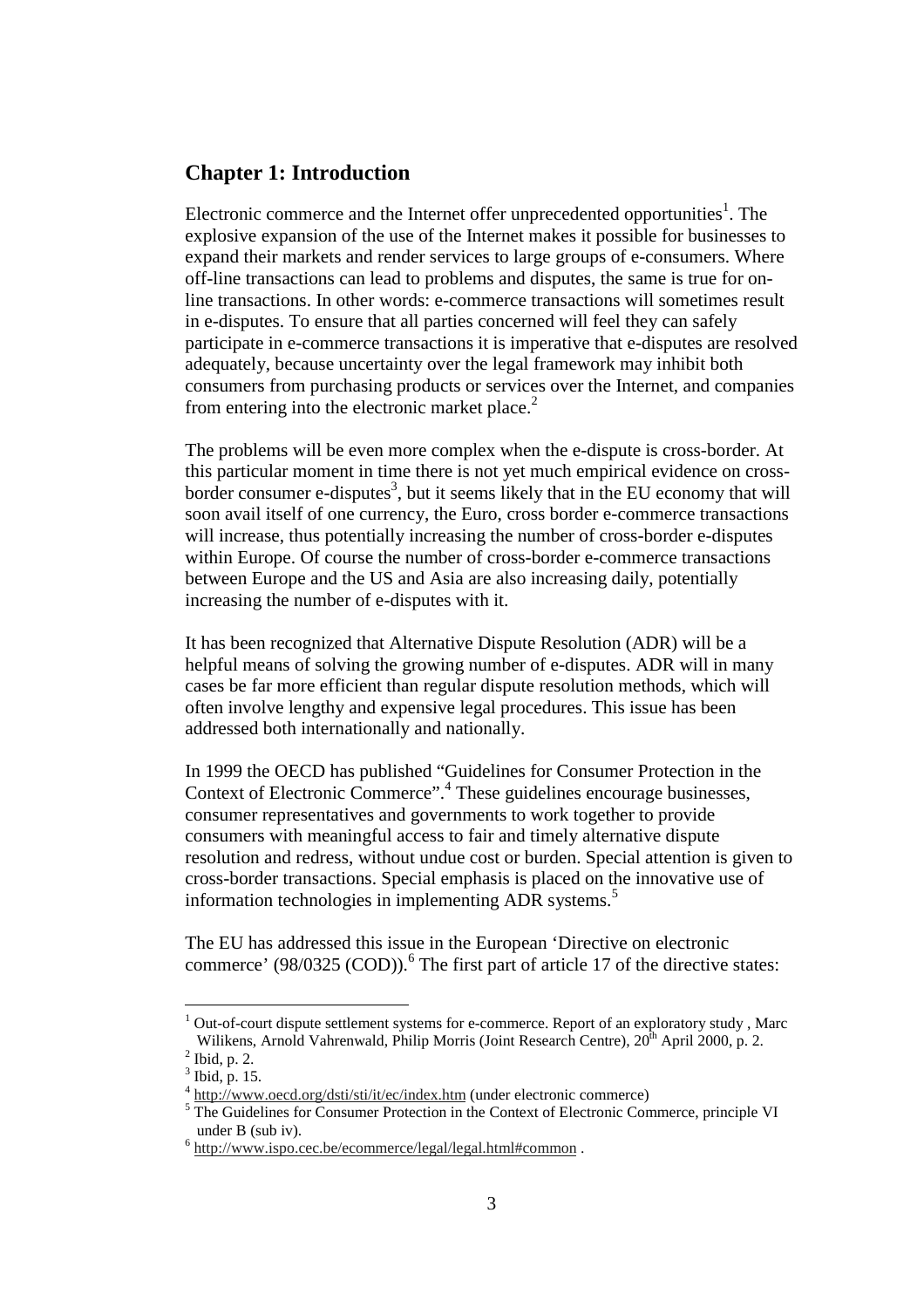## **Chapter 1: Introduction**

Electronic commerce and the Internet offer unprecedented opportunities<sup>1</sup>. The explosive expansion of the use of the Internet makes it possible for businesses to expand their markets and render services to large groups of e-consumers. Where off-line transactions can lead to problems and disputes, the same is true for online transactions. In other words: e-commerce transactions will sometimes result in e-disputes. To ensure that all parties concerned will feel they can safely participate in e-commerce transactions it is imperative that e-disputes are resolved adequately, because uncertainty over the legal framework may inhibit both consumers from purchasing products or services over the Internet, and companies from entering into the electronic market place. $<sup>2</sup>$ </sup>

The problems will be even more complex when the e-dispute is cross-border. At this particular moment in time there is not yet much empirical evidence on crossborder consumer e-disputes<sup>3</sup>, but it seems likely that in the EU economy that will soon avail itself of one currency, the Euro, cross border e-commerce transactions will increase, thus potentially increasing the number of cross-border e-disputes within Europe. Of course the number of cross-border e-commerce transactions between Europe and the US and Asia are also increasing daily, potentially increasing the number of e-disputes with it.

It has been recognized that Alternative Dispute Resolution (ADR) will be a helpful means of solving the growing number of e-disputes. ADR will in many cases be far more efficient than regular dispute resolution methods, which will often involve lengthy and expensive legal procedures. This issue has been addressed both internationally and nationally.

In 1999 the OECD has published "Guidelines for Consumer Protection in the Context of Electronic Commerce".<sup>4</sup> These guidelines encourage businesses, consumer representatives and governments to work together to provide consumers with meaningful access to fair and timely alternative dispute resolution and redress, without undue cost or burden. Special attention is given to cross-border transactions. Special emphasis is placed on the innovative use of information technologies in implementing ADR systems.<sup>5</sup>

The EU has addressed this issue in the European 'Directive on electronic commerce' (98/0325 (COD)).<sup>6</sup> The first part of article 17 of the directive states:

 $1$  Out-of-court dispute settlement systems for e-commerce. Report of an exploratory study, Marc Wilikens, Arnold Vahrenwald, Philip Morris (Joint Research Centre), 20<sup>th</sup> April 2000, p. 2.

 $<sup>2</sup>$  Ibid, p. 2.</sup>

<sup>3</sup> Ibid, p. 15.

<sup>4</sup> http://www.oecd.org/dsti/sti/it/ec/index.htm (under electronic commerce) <sup>5</sup>

<sup>&</sup>lt;sup>5</sup>The Guidelines for Consumer Protection in the Context of Electronic Commerce, principle VI under B (sub iv).

<sup>6</sup> http://www.ispo.cec.be/ecommerce/legal/legal.html#common .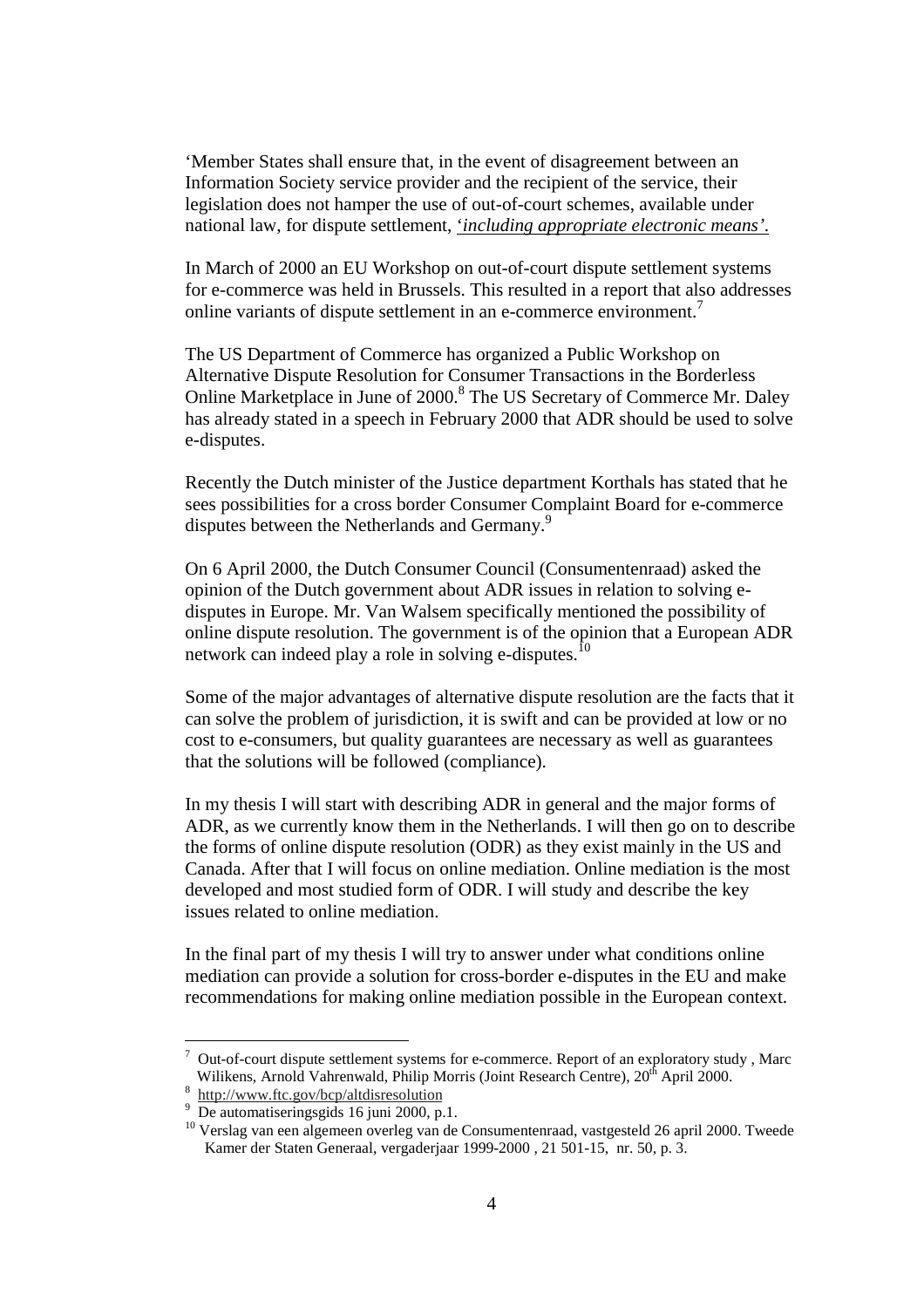'Member States shall ensure that, in the event of disagreement between an Information Society service provider and the recipient of the service, their legislation does not hamper the use of out-of-court schemes, available under national law, for dispute settlement, '*including appropriate electronic means'.*

In March of 2000 an EU Workshop on out-of-court dispute settlement systems for e-commerce was held in Brussels. This resulted in a report that also addresses online variants of dispute settlement in an e-commerce environment.<sup>7</sup>

The US Department of Commerce has organized a Public Workshop on Alternative Dispute Resolution for Consumer Transactions in the Borderless Online Marketplace in June of 2000.<sup>8</sup> The US Secretary of Commerce Mr. Daley has already stated in a speech in February 2000 that ADR should be used to solve e-disputes.

Recently the Dutch minister of the Justice department Korthals has stated that he sees possibilities for a cross border Consumer Complaint Board for e-commerce disputes between the Netherlands and Germany.<sup>9</sup>

On 6 April 2000, the Dutch Consumer Council (Consumentenraad) asked the opinion of the Dutch government about ADR issues in relation to solving edisputes in Europe. Mr. Van Walsem specifically mentioned the possibility of online dispute resolution. The government is of the opinion that a European ADR network can indeed play a role in solving e-disputes.<sup>10</sup>

Some of the major advantages of alternative dispute resolution are the facts that it can solve the problem of jurisdiction, it is swift and can be provided at low or no cost to e-consumers, but quality guarantees are necessary as well as guarantees that the solutions will be followed (compliance).

In my thesis I will start with describing ADR in general and the major forms of ADR, as we currently know them in the Netherlands. I will then go on to describe the forms of online dispute resolution (ODR) as they exist mainly in the US and Canada. After that I will focus on online mediation. Online mediation is the most developed and most studied form of ODR. I will study and describe the key issues related to online mediation.

In the final part of my thesis I will try to answer under what conditions online mediation can provide a solution for cross-border e-disputes in the EU and make recommendations for making online mediation possible in the European context.

 $7$  Out-of-court dispute settlement systems for e-commerce. Report of an exploratory study, Marc Wilikens, Arnold Vahrenwald, Philip Morris (Joint Research Centre), 20<sup>th</sup> April 2000.

<sup>&</sup>lt;sup>8</sup> http://www.ftc.gov/bcp/altdisresolution

De automatiseringsgids 16 juni 2000, p.1.

<sup>&</sup>lt;sup>10</sup> Verslag van een algemeen overleg van de Consumentenraad, vastgesteld 26 april 2000. Tweede Kamer der Staten Generaal, vergaderjaar 1999-2000 , 21 501-15, nr. 50, p. 3.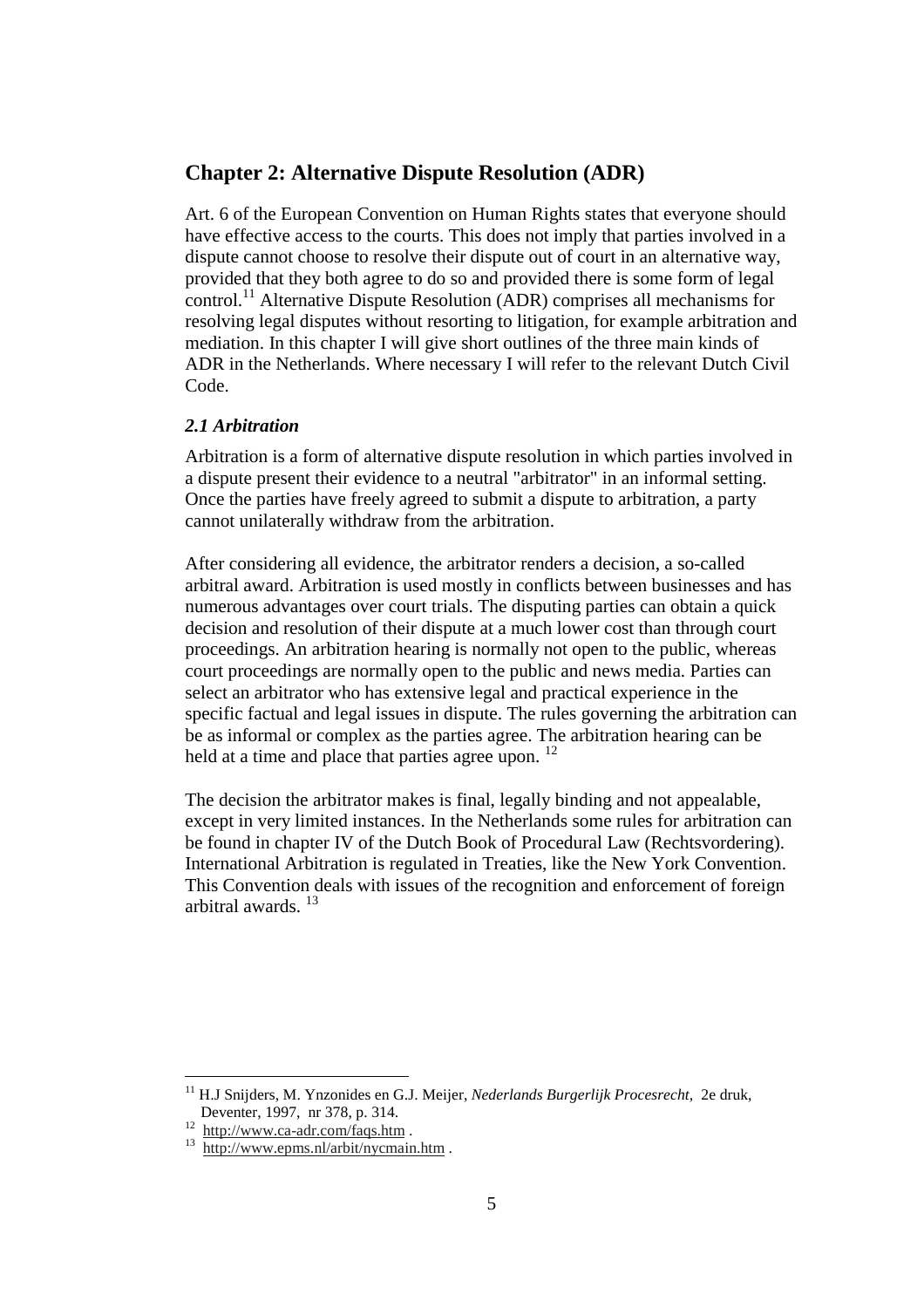## **Chapter 2: Alternative Dispute Resolution (ADR)**

Art. 6 of the European Convention on Human Rights states that everyone should have effective access to the courts. This does not imply that parties involved in a dispute cannot choose to resolve their dispute out of court in an alternative way, provided that they both agree to do so and provided there is some form of legal  $\text{control}$ <sup>11</sup> Alternative Dispute Resolution (ADR) comprises all mechanisms for resolving legal disputes without resorting to litigation, for example arbitration and mediation. In this chapter I will give short outlines of the three main kinds of ADR in the Netherlands. Where necessary I will refer to the relevant Dutch Civil Code.

#### *2.1 Arbitration*

Arbitration is a form of alternative dispute resolution in which parties involved in a dispute present their evidence to a neutral "arbitrator" in an informal setting. Once the parties have freely agreed to submit a dispute to arbitration, a party cannot unilaterally withdraw from the arbitration.

After considering all evidence, the arbitrator renders a decision, a so-called arbitral award. Arbitration is used mostly in conflicts between businesses and has numerous advantages over court trials. The disputing parties can obtain a quick decision and resolution of their dispute at a much lower cost than through court proceedings. An arbitration hearing is normally not open to the public, whereas court proceedings are normally open to the public and news media. Parties can select an arbitrator who has extensive legal and practical experience in the specific factual and legal issues in dispute. The rules governing the arbitration can be as informal or complex as the parties agree. The arbitration hearing can be held at a time and place that parties agree upon.  $12$ 

The decision the arbitrator makes is final, legally binding and not appealable, except in very limited instances. In the Netherlands some rules for arbitration can be found in chapter IV of the Dutch Book of Procedural Law (Rechtsvordering). International Arbitration is regulated in Treaties, like the New York Convention. This Convention deals with issues of the recognition and enforcement of foreign arbitral awards. <sup>13</sup>

<sup>11</sup> H.J Snijders, M. Ynzonides en G.J. Meijer, *Nederlands Burgerlijk Procesrecht,* 2e druk, Deventer, 1997, nr 378, p. 314.<br>http://www.ca-adr.com/faqs.htm.

 $\frac{13}{\text{http://www.epms.nl/arbit/nycmain.htm}}$ .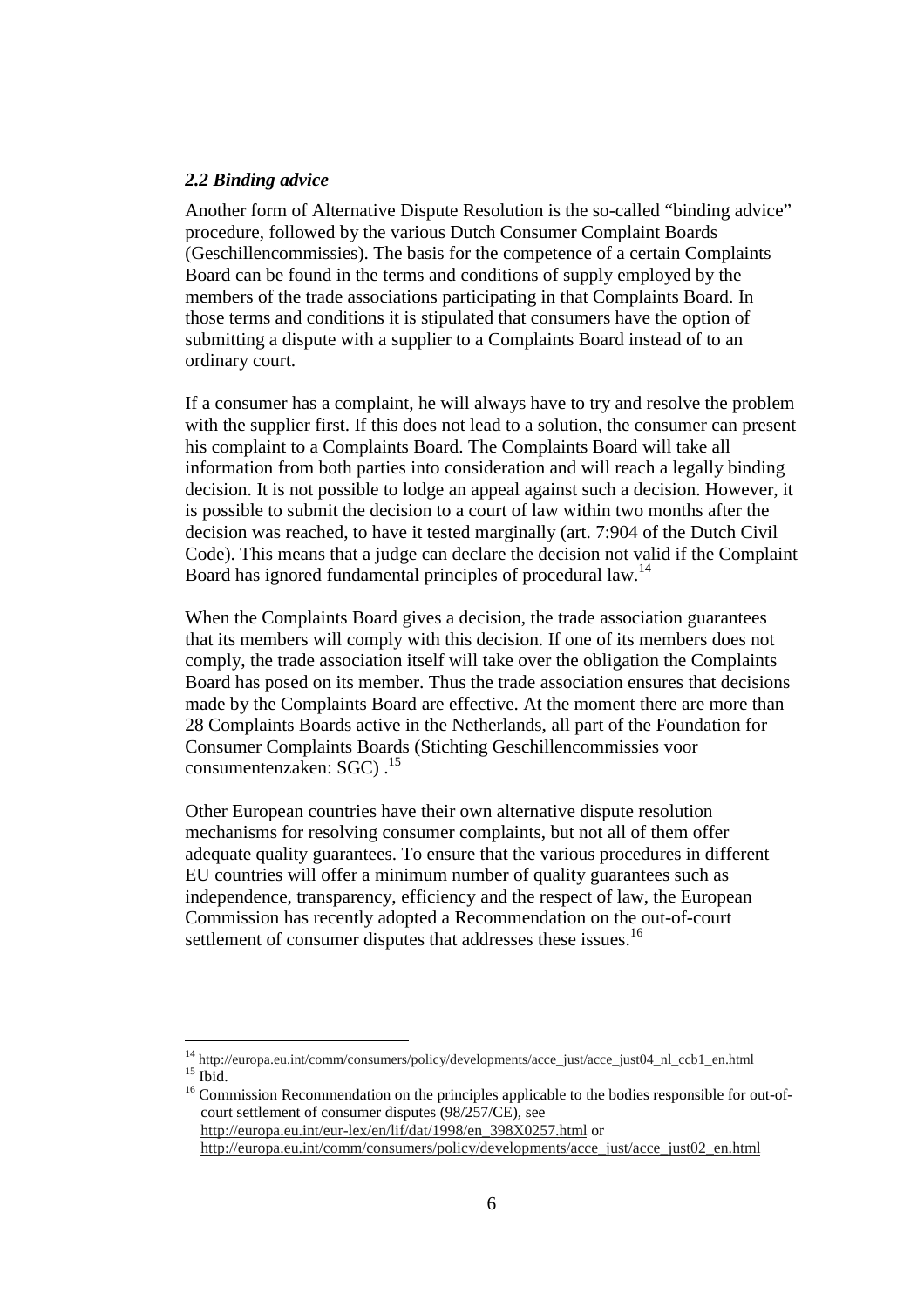#### *2.2 Binding advice*

 $\overline{a}$ 

Another form of Alternative Dispute Resolution is the so-called "binding advice" procedure, followed by the various Dutch Consumer Complaint Boards (Geschillencommissies). The basis for the competence of a certain Complaints Board can be found in the terms and conditions of supply employed by the members of the trade associations participating in that Complaints Board. In those terms and conditions it is stipulated that consumers have the option of submitting a dispute with a supplier to a Complaints Board instead of to an ordinary court.

If a consumer has a complaint, he will always have to try and resolve the problem with the supplier first. If this does not lead to a solution, the consumer can present his complaint to a Complaints Board. The Complaints Board will take all information from both parties into consideration and will reach a legally binding decision. It is not possible to lodge an appeal against such a decision. However, it is possible to submit the decision to a court of law within two months after the decision was reached, to have it tested marginally (art. 7:904 of the Dutch Civil Code). This means that a judge can declare the decision not valid if the Complaint Board has ignored fundamental principles of procedural law.<sup>14</sup>

When the Complaints Board gives a decision, the trade association guarantees that its members will comply with this decision. If one of its members does not comply, the trade association itself will take over the obligation the Complaints Board has posed on its member. Thus the trade association ensures that decisions made by the Complaints Board are effective. At the moment there are more than 28 Complaints Boards active in the Netherlands, all part of the Foundation for Consumer Complaints Boards (Stichting Geschillencommissies voor consumentenzaken: SGC) .15

Other European countries have their own alternative dispute resolution mechanisms for resolving consumer complaints, but not all of them offer adequate quality guarantees. To ensure that the various procedures in different EU countries will offer a minimum number of quality guarantees such as independence, transparency, efficiency and the respect of law, the European Commission has recently adopted a Recommendation on the out-of-court settlement of consumer disputes that addresses these issues.<sup>16</sup>

 $14 \frac{\text{http://europa.eu.int/comm/consumers/policy/developments/accept/acce_just/acce_just04_nl_ccb1_en.html}{\text{Ihtid}}$ 

<sup>16</sup> Commission Recommendation on the principles applicable to the bodies responsible for out-of court settlement of consumer disputes (98/257/CE), see http://europa.eu.int/eur-lex/en/lif/dat/1998/en\_398X0257.html or

http://europa.eu.int/comm/consumers/policy/developments/acce\_just/acce\_just02\_en.html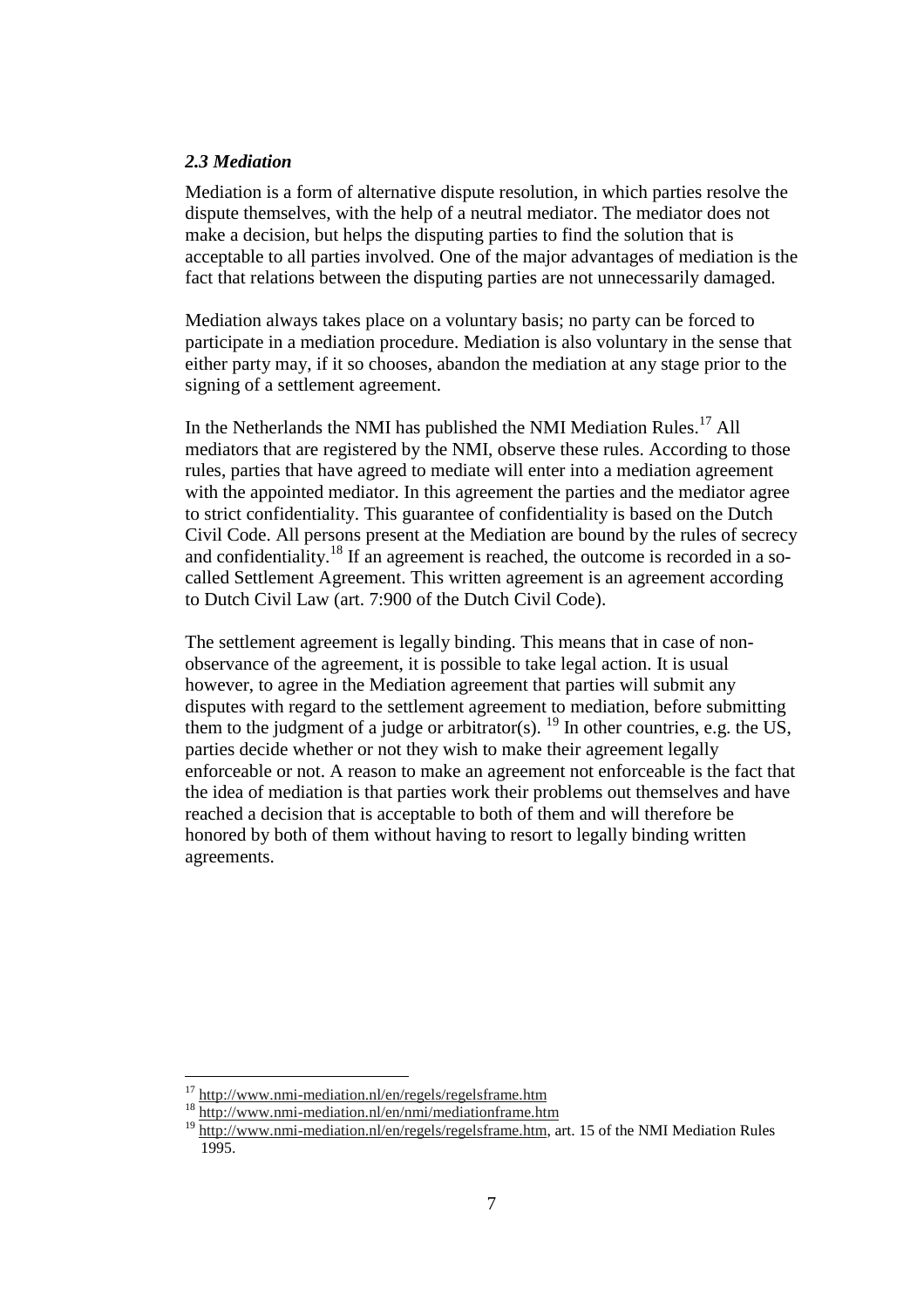#### *2.3 Mediation*

Mediation is a form of alternative dispute resolution, in which parties resolve the dispute themselves, with the help of a neutral mediator. The mediator does not make a decision, but helps the disputing parties to find the solution that is acceptable to all parties involved. One of the major advantages of mediation is the fact that relations between the disputing parties are not unnecessarily damaged.

Mediation always takes place on a voluntary basis; no party can be forced to participate in a mediation procedure. Mediation is also voluntary in the sense that either party may, if it so chooses, abandon the mediation at any stage prior to the signing of a settlement agreement.

In the Netherlands the NMI has published the NMI Mediation Rules.<sup>17</sup> All mediators that are registered by the NMI, observe these rules. According to those rules, parties that have agreed to mediate will enter into a mediation agreement with the appointed mediator. In this agreement the parties and the mediator agree to strict confidentiality. This guarantee of confidentiality is based on the Dutch Civil Code. All persons present at the Mediation are bound by the rules of secrecy and confidentiality.<sup>18</sup> If an agreement is reached, the outcome is recorded in a socalled Settlement Agreement. This written agreement is an agreement according to Dutch Civil Law (art. 7:900 of the Dutch Civil Code).

The settlement agreement is legally binding. This means that in case of nonobservance of the agreement, it is possible to take legal action. It is usual however, to agree in the Mediation agreement that parties will submit any disputes with regard to the settlement agreement to mediation, before submitting them to the judgment of a judge or arbitrator(s). <sup>19</sup> In other countries, e.g. the US, parties decide whether or not they wish to make their agreement legally enforceable or not. A reason to make an agreement not enforceable is the fact that the idea of mediation is that parties work their problems out themselves and have reached a decision that is acceptable to both of them and will therefore be honored by both of them without having to resort to legally binding written agreements.

 $17$  http://www.nmi-mediation.nl/en/regels/regelsframe.htm

<sup>&</sup>lt;sup>18</sup> http://www.nmi-mediation.nl/en/nmi/mediationframe.htm

<sup>&</sup>lt;sup>19</sup> http://www.nmi-mediation.nl/en/regels/regelsframe.htm, art. 15 of the NMI Mediation Rules 1995.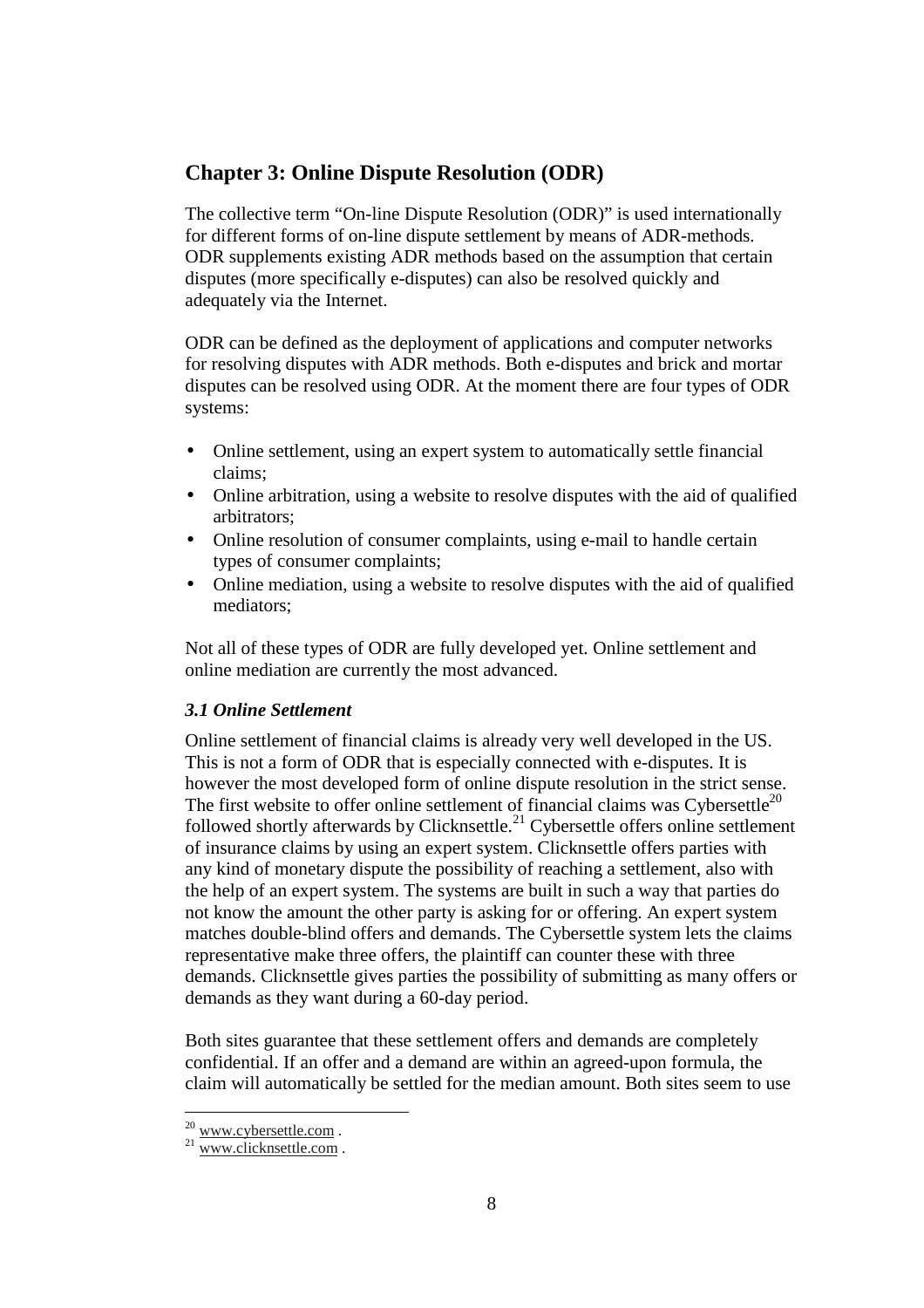## **Chapter 3: Online Dispute Resolution (ODR)**

The collective term "On-line Dispute Resolution (ODR)" is used internationally for different forms of on-line dispute settlement by means of ADR-methods. ODR supplements existing ADR methods based on the assumption that certain disputes (more specifically e-disputes) can also be resolved quickly and adequately via the Internet.

ODR can be defined as the deployment of applications and computer networks for resolving disputes with ADR methods. Both e-disputes and brick and mortar disputes can be resolved using ODR. At the moment there are four types of ODR systems:

- Online settlement, using an expert system to automatically settle financial claims;
- Online arbitration, using a website to resolve disputes with the aid of qualified arbitrators;
- Online resolution of consumer complaints, using e-mail to handle certain types of consumer complaints;
- Online mediation, using a website to resolve disputes with the aid of qualified mediators;

Not all of these types of ODR are fully developed yet. Online settlement and online mediation are currently the most advanced.

#### *3.1 Online Settlement*

Online settlement of financial claims is already very well developed in the US. This is not a form of ODR that is especially connected with e-disputes. It is however the most developed form of online dispute resolution in the strict sense. The first website to offer online settlement of financial claims was Cybersettle<sup>20</sup> followed shortly afterwards by Clicknsettle.<sup>21</sup> Cybersettle offers online settlement of insurance claims by using an expert system. Clicknsettle offers parties with any kind of monetary dispute the possibility of reaching a settlement, also with the help of an expert system. The systems are built in such a way that parties do not know the amount the other party is asking for or offering. An expert system matches double-blind offers and demands. The Cybersettle system lets the claims representative make three offers, the plaintiff can counter these with three demands. Clicknsettle gives parties the possibility of submitting as many offers or demands as they want during a 60-day period.

Both sites guarantee that these settlement offers and demands are completely confidential. If an offer and a demand are within an agreed-upon formula, the claim will automatically be settled for the median amount. Both sites seem to use

 $20$  www.cybersettle.com.

 $^{21}$  www.clicknsettle.com .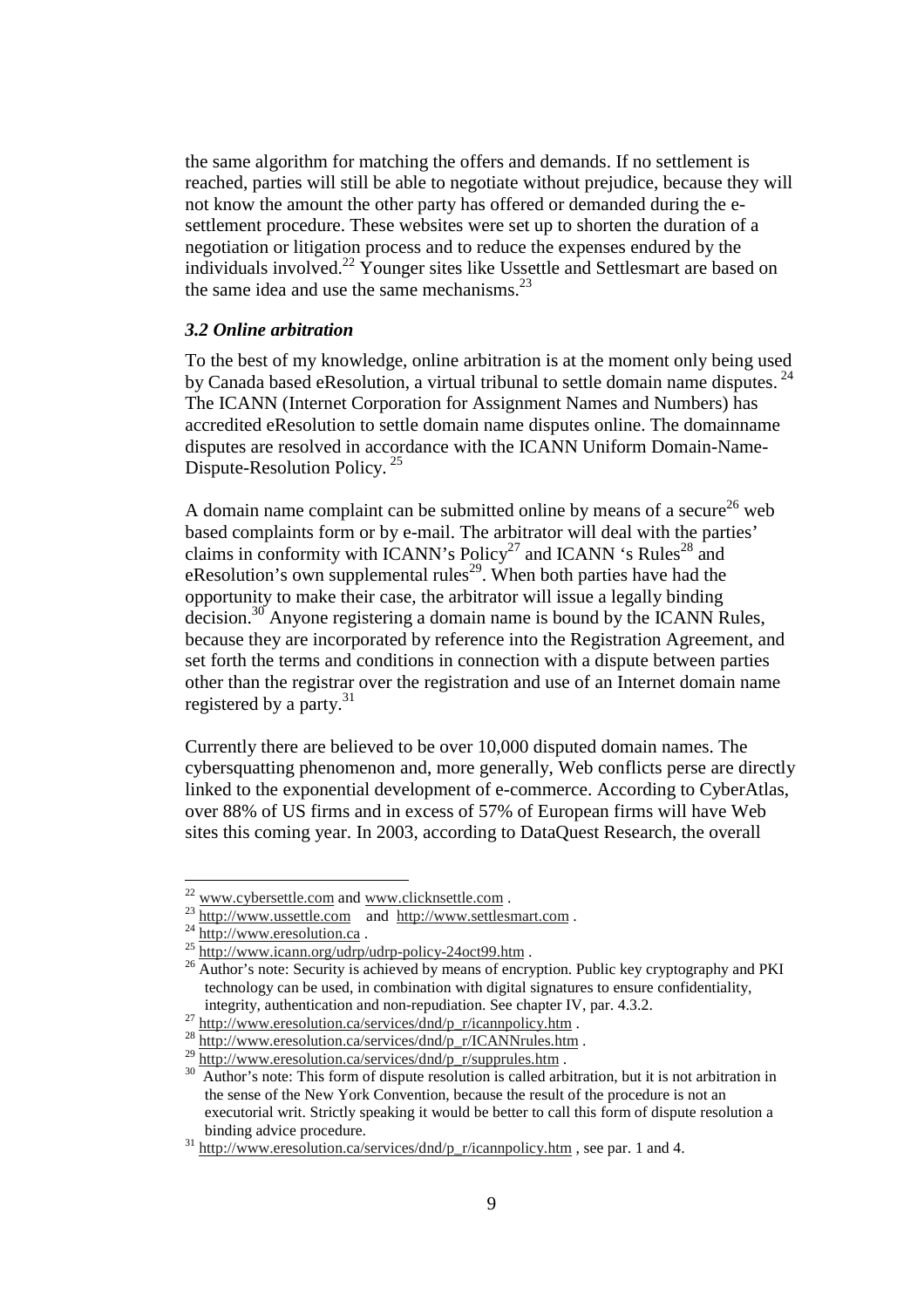the same algorithm for matching the offers and demands. If no settlement is reached, parties will still be able to negotiate without prejudice, because they will not know the amount the other party has offered or demanded during the esettlement procedure. These websites were set up to shorten the duration of a negotiation or litigation process and to reduce the expenses endured by the individuals involved.<sup>22</sup> Younger sites like Ussettle and Settlesmart are based on the same idea and use the same mechanisms. $^{23}$ 

#### *3.2 Online arbitration*

To the best of my knowledge, online arbitration is at the moment only being used by Canada based eResolution, a virtual tribunal to settle domain name disputes.<sup>24</sup> The ICANN (Internet Corporation for Assignment Names and Numbers) has accredited eResolution to settle domain name disputes online. The domainname disputes are resolved in accordance with the ICANN Uniform Domain-Name-Dispute-Resolution Policy.<sup>25</sup>

A domain name complaint can be submitted online by means of a secure<sup>26</sup> web based complaints form or by e-mail. The arbitrator will deal with the parties' claims in conformity with ICANN's Policy<sup>27</sup> and ICANN 's Rules<sup>28</sup> and eResolution's own supplemental rules<sup>29</sup>. When both parties have had the opportunity to make their case, the arbitrator will issue a legally binding decision.<sup>30</sup> Anyone registering a domain name is bound by the ICANN Rules, because they are incorporated by reference into the Registration Agreement, and set forth the terms and conditions in connection with a dispute between parties other than the registrar over the registration and use of an Internet domain name registered by a party. $31$ 

Currently there are believed to be over 10,000 disputed domain names. The cybersquatting phenomenon and, more generally, Web conflicts perse are directly linked to the exponential development of e-commerce. According to CyberAtlas, over 88% of US firms and in excess of 57% of European firms will have Web sites this coming year. In 2003, according to DataQuest Research, the overall

<sup>&</sup>lt;sup>22</sup> www.cybersettle.com and www.clicknsettle.com.

 $^{23}$  http://www.ussettle.com and http://www.settlesmart.com .<br>  $^{24}$  http://www.eresolution.ca .<br>  $^{25}$  http://www.icann.org/udrp/udrp-policy-24oct99.htm .<br>  $^{26}$  Author's note: Security is achieved by means of encry technology can be used, in combination with digital signatures to ensure confidentiality,

integrity, authentication and non-repudiation. See chapter IV, par. 4.3.2.<br><sup>27</sup> http://www.eresolution.ca/services/dnd/p\_r/icannpolicy.htm

<sup>&</sup>lt;sup>28</sup> http://www.eresolution.ca/services/dnd/p\_r/ICANNrules.htm .<br><sup>29</sup> http://www.eresolution.ca/services/dnd/p\_r/supprules.htm .<br><sup>30</sup> Author's note: This form of dispute resolution is called arbitration, but it is not arb the sense of the New York Convention, because the result of the procedure is not an executorial writ. Strictly speaking it would be better to call this form of dispute resolution a binding advice procedure.

 $31 \text{ http://www.eresolution.ca/services/dnd/p\_r/icannpolicy.htm}$ , see par. 1 and 4.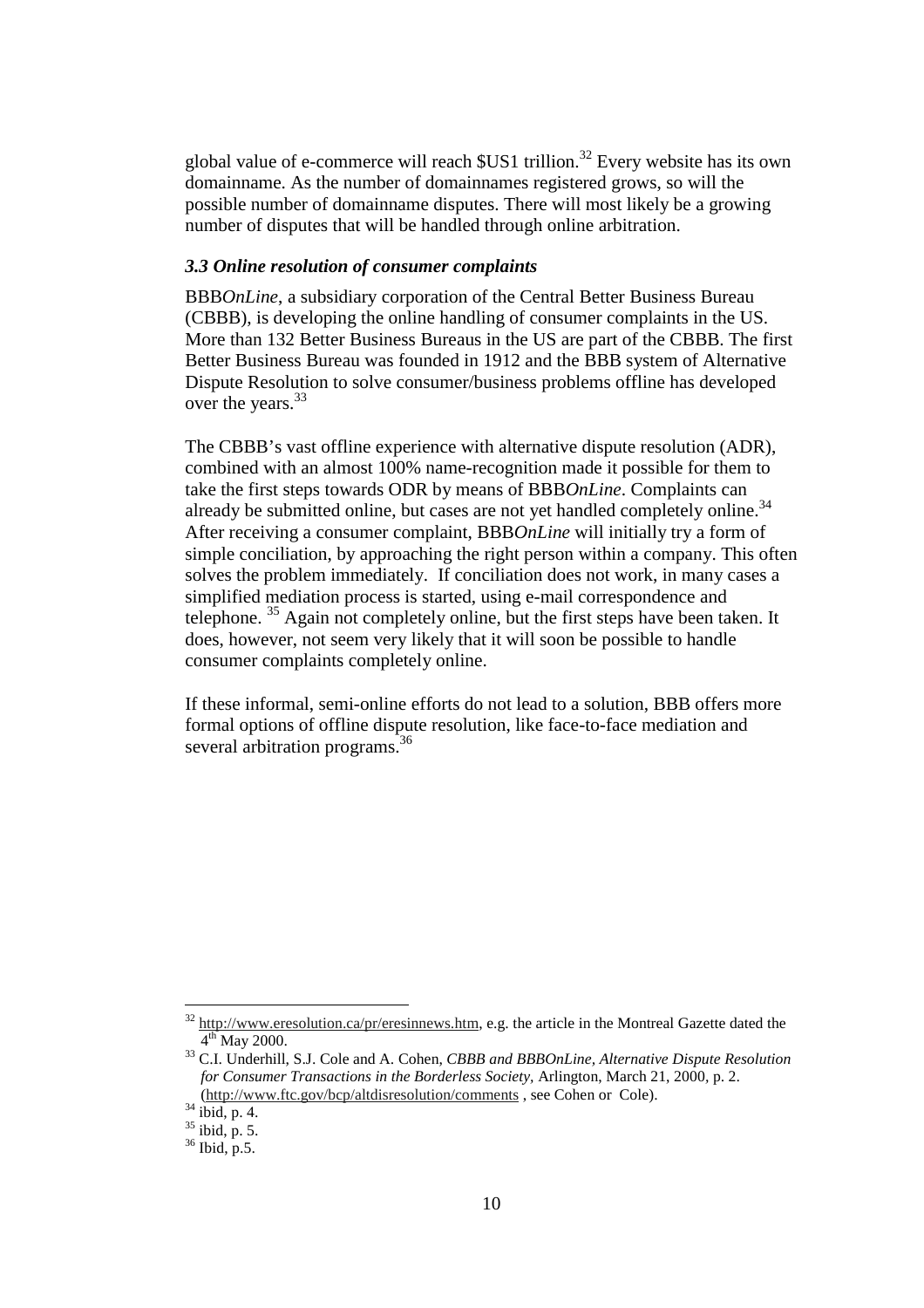global value of e-commerce will reach  $SUS1$  trillion.<sup>32</sup> Every website has its own domainname. As the number of domainnames registered grows, so will the possible number of domainname disputes. There will most likely be a growing number of disputes that will be handled through online arbitration.

#### *3.3 Online resolution of consumer complaints*

BBB*OnLine*, a subsidiary corporation of the Central Better Business Bureau (CBBB), is developing the online handling of consumer complaints in the US. More than 132 Better Business Bureaus in the US are part of the CBBB. The first Better Business Bureau was founded in 1912 and the BBB system of Alternative Dispute Resolution to solve consumer/business problems offline has developed over the years.  $33$ 

The CBBB's vast offline experience with alternative dispute resolution (ADR), combined with an almost 100% name-recognition made it possible for them to take the first steps towards ODR by means of BBB*OnLine*. Complaints can already be submitted online, but cases are not yet handled completely online.<sup>34</sup> After receiving a consumer complaint, BBB*OnLine* will initially try a form of simple conciliation, by approaching the right person within a company. This often solves the problem immediately. If conciliation does not work, in many cases a simplified mediation process is started, using e-mail correspondence and telephone. 35 Again not completely online, but the first steps have been taken. It does, however, not seem very likely that it will soon be possible to handle consumer complaints completely online.

If these informal, semi-online efforts do not lead to a solution, BBB offers more formal options of offline dispute resolution, like face-to-face mediation and several arbitration programs.<sup>36</sup>

 $\frac{32 \text{ http://www.eresolution.ca/pr/eresinnews.htm}}{4^{\text{th}}}$  Mav 2000.

<sup>&</sup>lt;sup>33</sup> C.I. Underhill, S.J. Cole and A. Cohen, *CBBB and BBBOnLine, Alternative Dispute Resolution for Consumer Transactions in the Borderless Society,* Arlington, March 21, 2000*,* p. 2. (http://www.ftc.gov/bcp/altdisresolution/comments , see Cohen or Cole). 34 ibid, p. 4.

 $35$  ibid, p. 5.

 $36$  Ibid, p.5.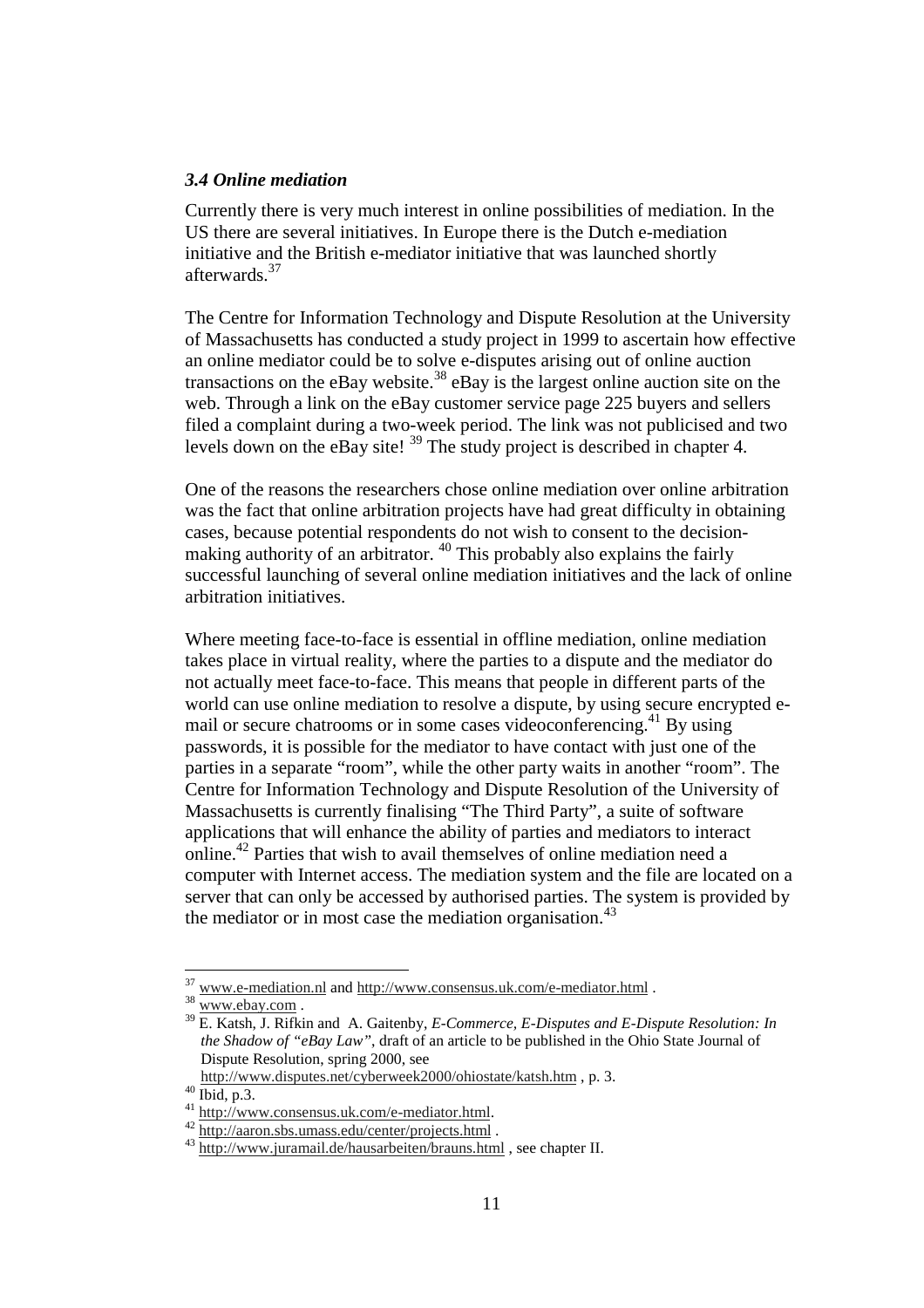#### *3.4 Online mediation*

Currently there is very much interest in online possibilities of mediation. In the US there are several initiatives. In Europe there is the Dutch e-mediation initiative and the British e-mediator initiative that was launched shortly afterwards.<sup>37</sup>

The Centre for Information Technology and Dispute Resolution at the University of Massachusetts has conducted a study project in 1999 to ascertain how effective an online mediator could be to solve e-disputes arising out of online auction transactions on the eBay website.<sup>38</sup> eBay is the largest online auction site on the web. Through a link on the eBay customer service page 225 buyers and sellers filed a complaint during a two-week period. The link was not publicised and two levels down on the eBay site!<sup>39</sup> The study project is described in chapter 4.

One of the reasons the researchers chose online mediation over online arbitration was the fact that online arbitration projects have had great difficulty in obtaining cases, because potential respondents do not wish to consent to the decisionmaking authority of an arbitrator.  $40$  This probably also explains the fairly successful launching of several online mediation initiatives and the lack of online arbitration initiatives.

Where meeting face-to-face is essential in offline mediation, online mediation takes place in virtual reality, where the parties to a dispute and the mediator do not actually meet face-to-face. This means that people in different parts of the world can use online mediation to resolve a dispute, by using secure encrypted email or secure chatrooms or in some cases videoconferencing.<sup>41</sup> By using passwords, it is possible for the mediator to have contact with just one of the parties in a separate "room", while the other party waits in another "room". The Centre for Information Technology and Dispute Resolution of the University of Massachusetts is currently finalising "The Third Party", a suite of software applications that will enhance the ability of parties and mediators to interact online.<sup>42</sup> Parties that wish to avail themselves of online mediation need a computer with Internet access. The mediation system and the file are located on a server that can only be accessed by authorised parties. The system is provided by the mediator or in most case the mediation organisation.<sup>43</sup>

<sup>&</sup>lt;sup>37</sup> www.e-mediation.nl and http://www.consensus.uk.com/e-mediator.html .<br><sup>38</sup> <u>www.ebay.com</u> .<br><sup>39</sup> E. Katsh, J. Rifkin and A. Gaitenby, *E-Commerce, E-Disputes and E-Dispute Resolution: In the Shadow of "eBay Law"*, draft of an article to be published in the Ohio State Journal of Dispute Resolution, spring 2000, see

http://www.disputes.net/cyberweek2000/ohiostate/katsh.htm , p. 3.<br><sup>40</sup> Ibid, p.3.<br><sup>41</sup> http://www.consensus.uk.com/e-mediator.html.

 $\frac{42 \text{ http://axron.sbs.umss.edu/center/projects.html}}{43 \text{ http://axron.sbs.umss.edu/center/projects.html}}$ .<br>  $\frac{43 \text{http://www.iumamail.de/hausarbeiten/braums.html}}{43 \text{ http://www.junamail.de/hausarbeiten/braums.html}}$ , see chapter II.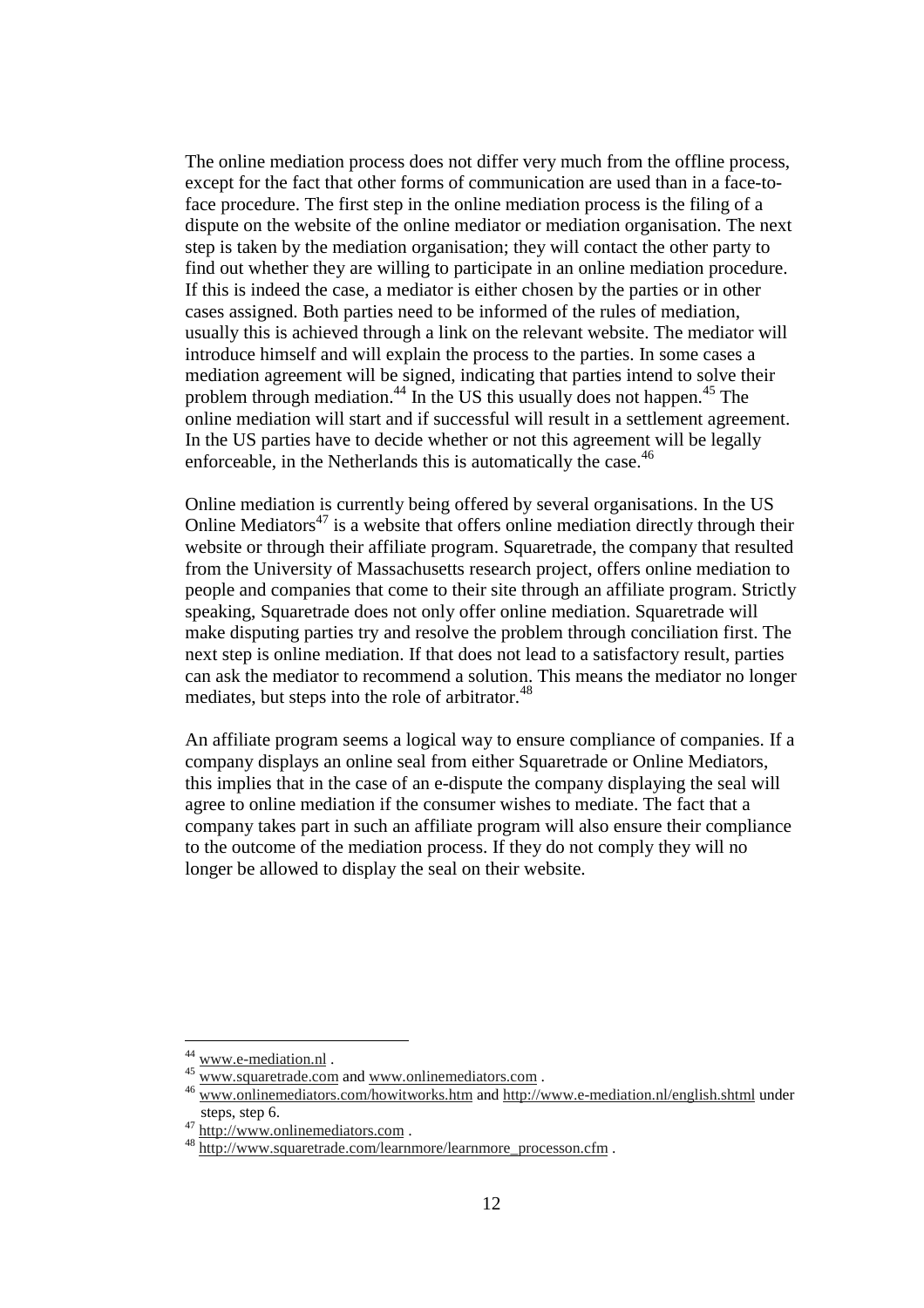The online mediation process does not differ very much from the offline process, except for the fact that other forms of communication are used than in a face-toface procedure. The first step in the online mediation process is the filing of a dispute on the website of the online mediator or mediation organisation. The next step is taken by the mediation organisation; they will contact the other party to find out whether they are willing to participate in an online mediation procedure. If this is indeed the case, a mediator is either chosen by the parties or in other cases assigned. Both parties need to be informed of the rules of mediation, usually this is achieved through a link on the relevant website. The mediator will introduce himself and will explain the process to the parties. In some cases a mediation agreement will be signed, indicating that parties intend to solve their problem through mediation.<sup>44</sup> In the US this usually does not happen.<sup>45</sup> The online mediation will start and if successful will result in a settlement agreement. In the US parties have to decide whether or not this agreement will be legally enforceable, in the Netherlands this is automatically the case.<sup>46</sup>

Online mediation is currently being offered by several organisations. In the US Online Mediators<sup>47</sup> is a website that offers online mediation directly through their website or through their affiliate program. Squaretrade, the company that resulted from the University of Massachusetts research project, offers online mediation to people and companies that come to their site through an affiliate program. Strictly speaking, Squaretrade does not only offer online mediation. Squaretrade will make disputing parties try and resolve the problem through conciliation first. The next step is online mediation. If that does not lead to a satisfactory result, parties can ask the mediator to recommend a solution. This means the mediator no longer mediates, but steps into the role of arbitrator.<sup>48</sup>

An affiliate program seems a logical way to ensure compliance of companies. If a company displays an online seal from either Squaretrade or Online Mediators, this implies that in the case of an e-dispute the company displaying the seal will agree to online mediation if the consumer wishes to mediate. The fact that a company takes part in such an affiliate program will also ensure their compliance to the outcome of the mediation process. If they do not comply they will no longer be allowed to display the seal on their website.

<sup>&</sup>lt;sup>44</sup> www.e-mediation.nl .<br><sup>45</sup> www.squaretrade.com and www.onlinemediators.com .<br><sup>46</sup> www.onlinemediators.com/howitworks.htm and http://www.e-mediation.nl/english.shtml under steps, step 6.<br><sup>47</sup> http://www.onlinemediators.com.

<sup>48</sup> http://www.squaretrade.com/learnmore/learnmore\_processon.cfm .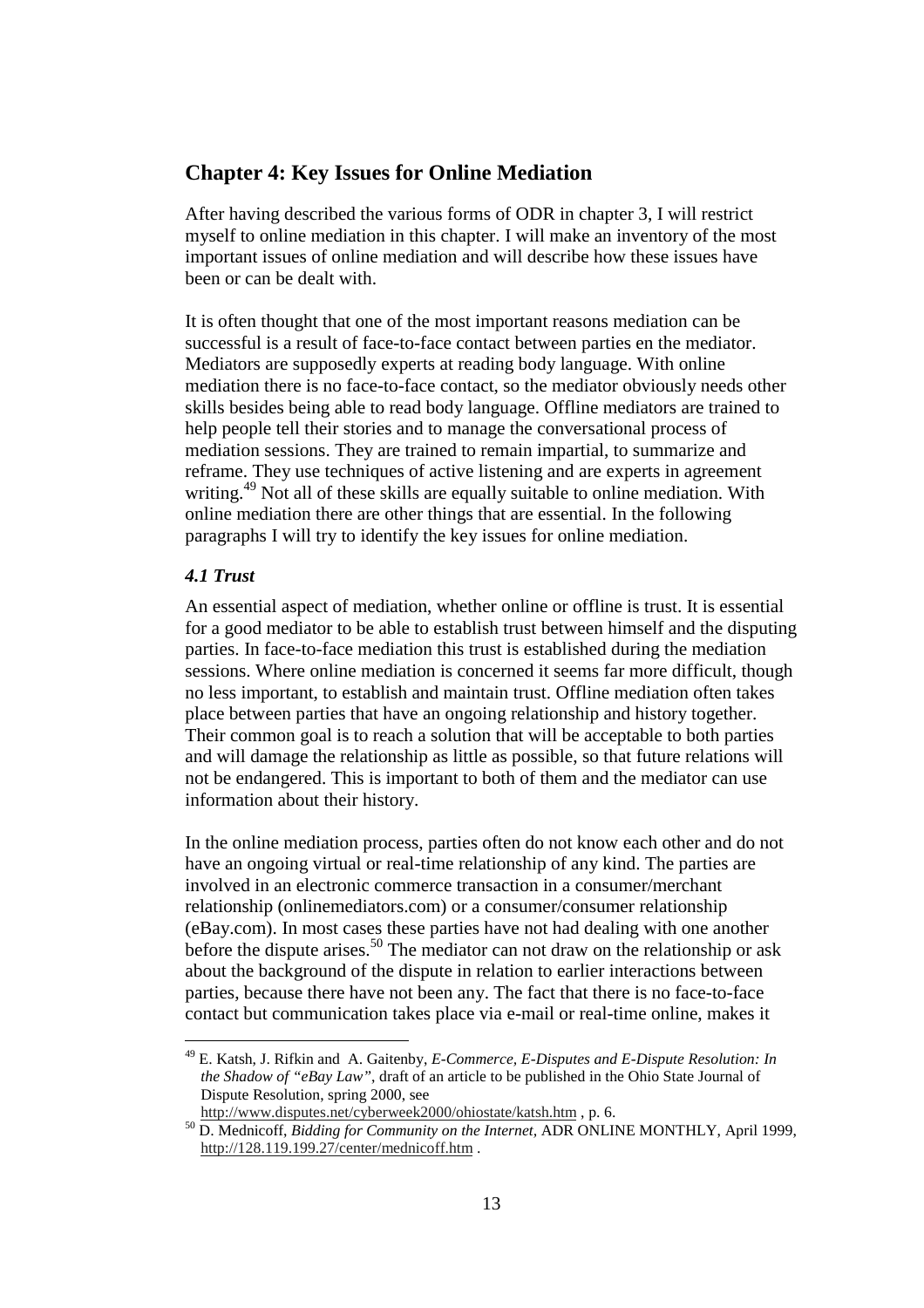## **Chapter 4: Key Issues for Online Mediation**

After having described the various forms of ODR in chapter 3, I will restrict myself to online mediation in this chapter. I will make an inventory of the most important issues of online mediation and will describe how these issues have been or can be dealt with.

It is often thought that one of the most important reasons mediation can be successful is a result of face-to-face contact between parties en the mediator. Mediators are supposedly experts at reading body language. With online mediation there is no face-to-face contact, so the mediator obviously needs other skills besides being able to read body language. Offline mediators are trained to help people tell their stories and to manage the conversational process of mediation sessions. They are trained to remain impartial, to summarize and reframe. They use techniques of active listening and are experts in agreement writing.<sup>49</sup> Not all of these skills are equally suitable to online mediation. With online mediation there are other things that are essential. In the following paragraphs I will try to identify the key issues for online mediation.

#### *4.1 Trust*

 $\overline{a}$ 

An essential aspect of mediation, whether online or offline is trust. It is essential for a good mediator to be able to establish trust between himself and the disputing parties. In face-to-face mediation this trust is established during the mediation sessions. Where online mediation is concerned it seems far more difficult, though no less important, to establish and maintain trust. Offline mediation often takes place between parties that have an ongoing relationship and history together. Their common goal is to reach a solution that will be acceptable to both parties and will damage the relationship as little as possible, so that future relations will not be endangered. This is important to both of them and the mediator can use information about their history.

In the online mediation process, parties often do not know each other and do not have an ongoing virtual or real-time relationship of any kind. The parties are involved in an electronic commerce transaction in a consumer/merchant relationship (onlinemediators.com) or a consumer/consumer relationship (eBay.com). In most cases these parties have not had dealing with one another before the dispute arises.<sup>50</sup> The mediator can not draw on the relationship or ask about the background of the dispute in relation to earlier interactions between parties, because there have not been any. The fact that there is no face-to-face contact but communication takes place via e-mail or real-time online, makes it

<sup>49</sup> E. Katsh, J. Rifkin and A. Gaitenby, *E-Commerce, E-Disputes and E-Dispute Resolution: In the Shadow of "eBay Law"*, draft of an article to be published in the Ohio State Journal of Dispute Resolution, spring 2000, see<br>http://www.disputes.net/cyberweek2000/ohiostate/katsh.htm, p. 6.

<sup>&</sup>lt;sup>50</sup> D. Mednicoff, *Bidding for Community on the Internet*, ADR ONLINE MONTHLY, April 1999, http://128.119.199.27/center/mednicoff.htm .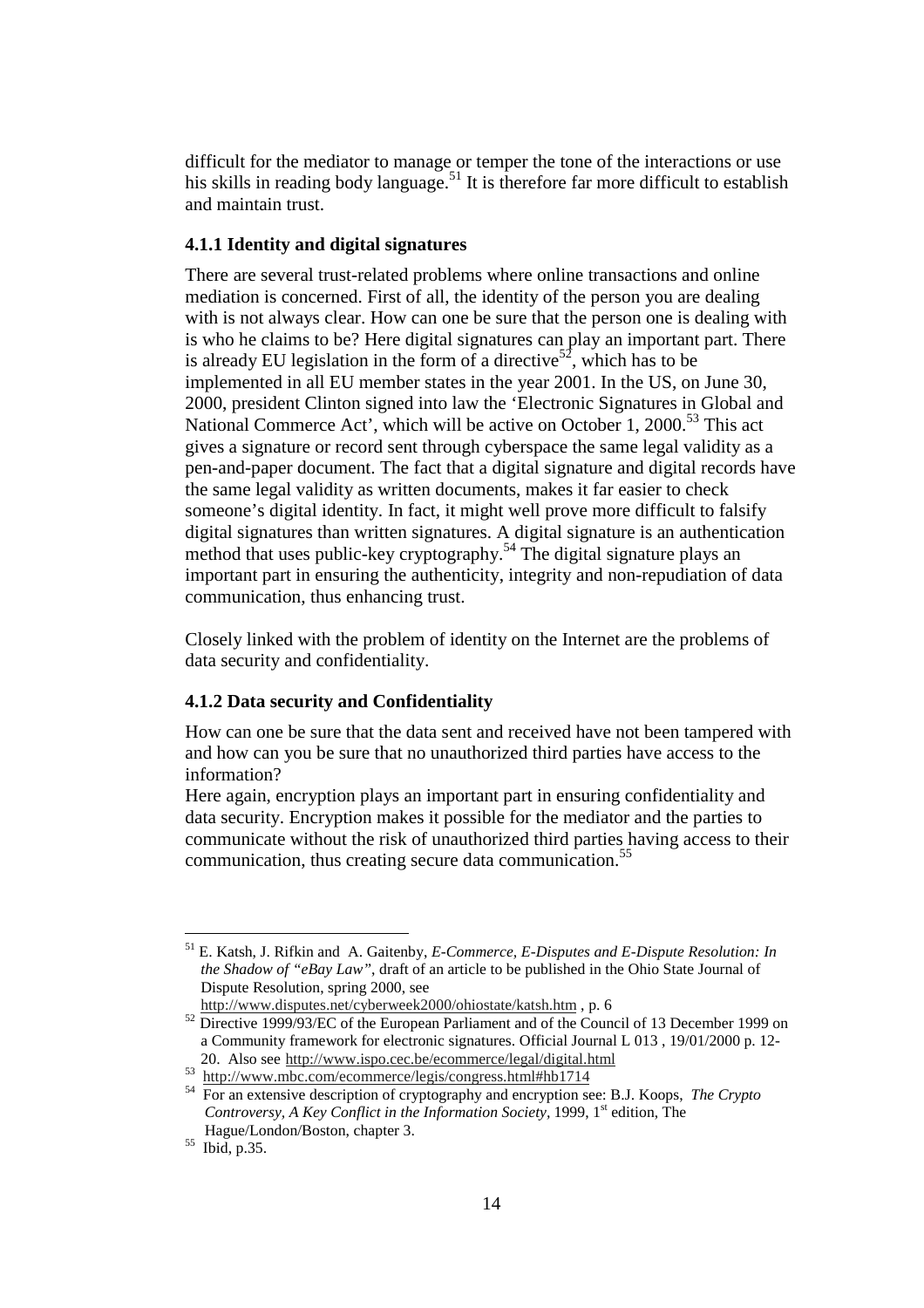difficult for the mediator to manage or temper the tone of the interactions or use his skills in reading body language.<sup>51</sup> It is therefore far more difficult to establish and maintain trust.

#### **4.1.1 Identity and digital signatures**

There are several trust-related problems where online transactions and online mediation is concerned. First of all, the identity of the person you are dealing with is not always clear. How can one be sure that the person one is dealing with is who he claims to be? Here digital signatures can play an important part. There is already EU legislation in the form of a directive<sup>52</sup>, which has to be implemented in all EU member states in the year 2001. In the US, on June 30, 2000, president Clinton signed into law the 'Electronic Signatures in Global and National Commerce Act', which will be active on October 1, 2000.<sup>53</sup> This act gives a signature or record sent through cyberspace the same legal validity as a pen-and-paper document. The fact that a digital signature and digital records have the same legal validity as written documents, makes it far easier to check someone's digital identity. In fact, it might well prove more difficult to falsify digital signatures than written signatures. A digital signature is an authentication method that uses public-key cryptography.<sup>54</sup> The digital signature plays an important part in ensuring the authenticity, integrity and non-repudiation of data communication, thus enhancing trust.

Closely linked with the problem of identity on the Internet are the problems of data security and confidentiality.

#### **4.1.2 Data security and Confidentiality**

How can one be sure that the data sent and received have not been tampered with and how can you be sure that no unauthorized third parties have access to the information?

Here again, encryption plays an important part in ensuring confidentiality and data security. Encryption makes it possible for the mediator and the parties to communicate without the risk of unauthorized third parties having access to their communication, thus creating secure data communication.<sup>55</sup>

<sup>51</sup> E. Katsh, J. Rifkin and A. Gaitenby, *E-Commerce, E-Disputes and E-Dispute Resolution: In the Shadow of "eBay Law"*, draft of an article to be published in the Ohio State Journal of Dispute Resolution, spring 2000, see

http://www.disputes.net/cyberweek2000/ohiostate/katsh.htm , p. 6<br><sup>52</sup> Directive 1999/93/EC of the European Parliament and of the Council of 13 December 1999 on a Community framework for electronic signatures. Official Journal L 013 , 19/01/2000 p. 12-

 <sup>20.</sup> Also see http://www.ispo.cec.be/ecommerce/legal/digital.html 53 http://www.mbc.com/ecommerce/legis/congress.html#hb1714 54 For an extensive description of cryptography and encryption see: B.J. Koops, *The Crypto Controversy, A Key Conflict in the Information Society,* 1999, 1<sup>st</sup> edition, The Hague/London/Boston, chapter 3.

<sup>55</sup> Ibid, p.35.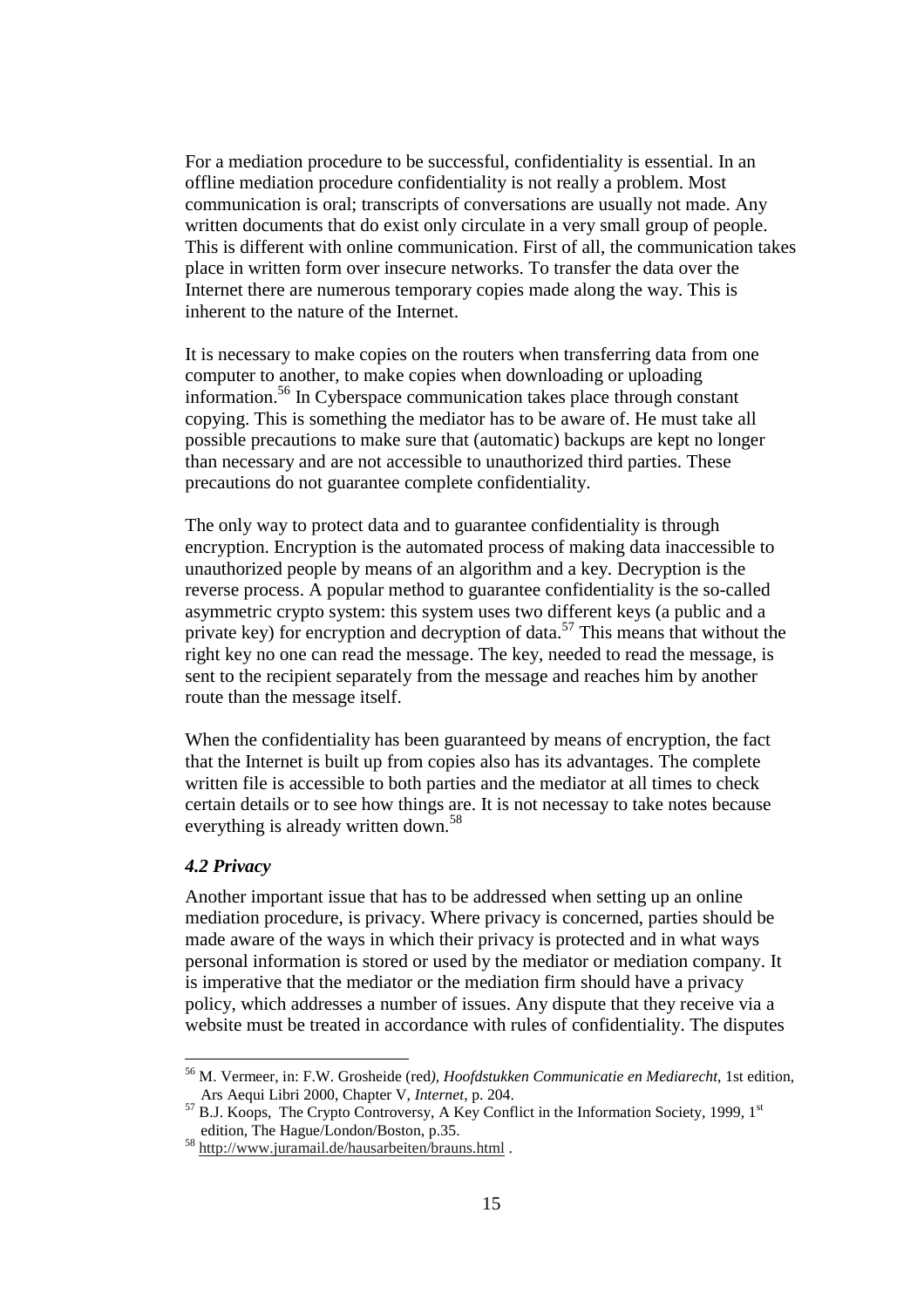For a mediation procedure to be successful, confidentiality is essential. In an offline mediation procedure confidentiality is not really a problem. Most communication is oral; transcripts of conversations are usually not made. Any written documents that do exist only circulate in a very small group of people. This is different with online communication. First of all, the communication takes place in written form over insecure networks. To transfer the data over the Internet there are numerous temporary copies made along the way. This is inherent to the nature of the Internet.

It is necessary to make copies on the routers when transferring data from one computer to another, to make copies when downloading or uploading information.56 In Cyberspace communication takes place through constant copying. This is something the mediator has to be aware of. He must take all possible precautions to make sure that (automatic) backups are kept no longer than necessary and are not accessible to unauthorized third parties. These precautions do not guarantee complete confidentiality.

The only way to protect data and to guarantee confidentiality is through encryption. Encryption is the automated process of making data inaccessible to unauthorized people by means of an algorithm and a key. Decryption is the reverse process. A popular method to guarantee confidentiality is the so-called asymmetric crypto system: this system uses two different keys (a public and a private key) for encryption and decryption of data.<sup>57</sup> This means that without the right key no one can read the message. The key, needed to read the message, is sent to the recipient separately from the message and reaches him by another route than the message itself.

When the confidentiality has been guaranteed by means of encryption, the fact that the Internet is built up from copies also has its advantages. The complete written file is accessible to both parties and the mediator at all times to check certain details or to see how things are. It is not necessay to take notes because everything is already written down.<sup>58</sup>

#### *4.2 Privacy*

 $\overline{a}$ 

Another important issue that has to be addressed when setting up an online mediation procedure, is privacy. Where privacy is concerned, parties should be made aware of the ways in which their privacy is protected and in what ways personal information is stored or used by the mediator or mediation company. It is imperative that the mediator or the mediation firm should have a privacy policy, which addresses a number of issues. Any dispute that they receive via a website must be treated in accordance with rules of confidentiality. The disputes

<sup>56</sup> M. Vermeer, in: F.W. Grosheide (red*), Hoofdstukken Communicatie en Mediarecht*, 1st edition,

Ars Aequi Libri 2000, Chapter V, *Internet*, p. 204.<br><sup>57</sup> B.J. Koops, The Crypto Controversy, A Key Conflict in the Information Society, 1999, 1<sup>st</sup> edition, The Hague/London/Boston, p.35.

<sup>58</sup> http://www.juramail.de/hausarbeiten/brauns.html .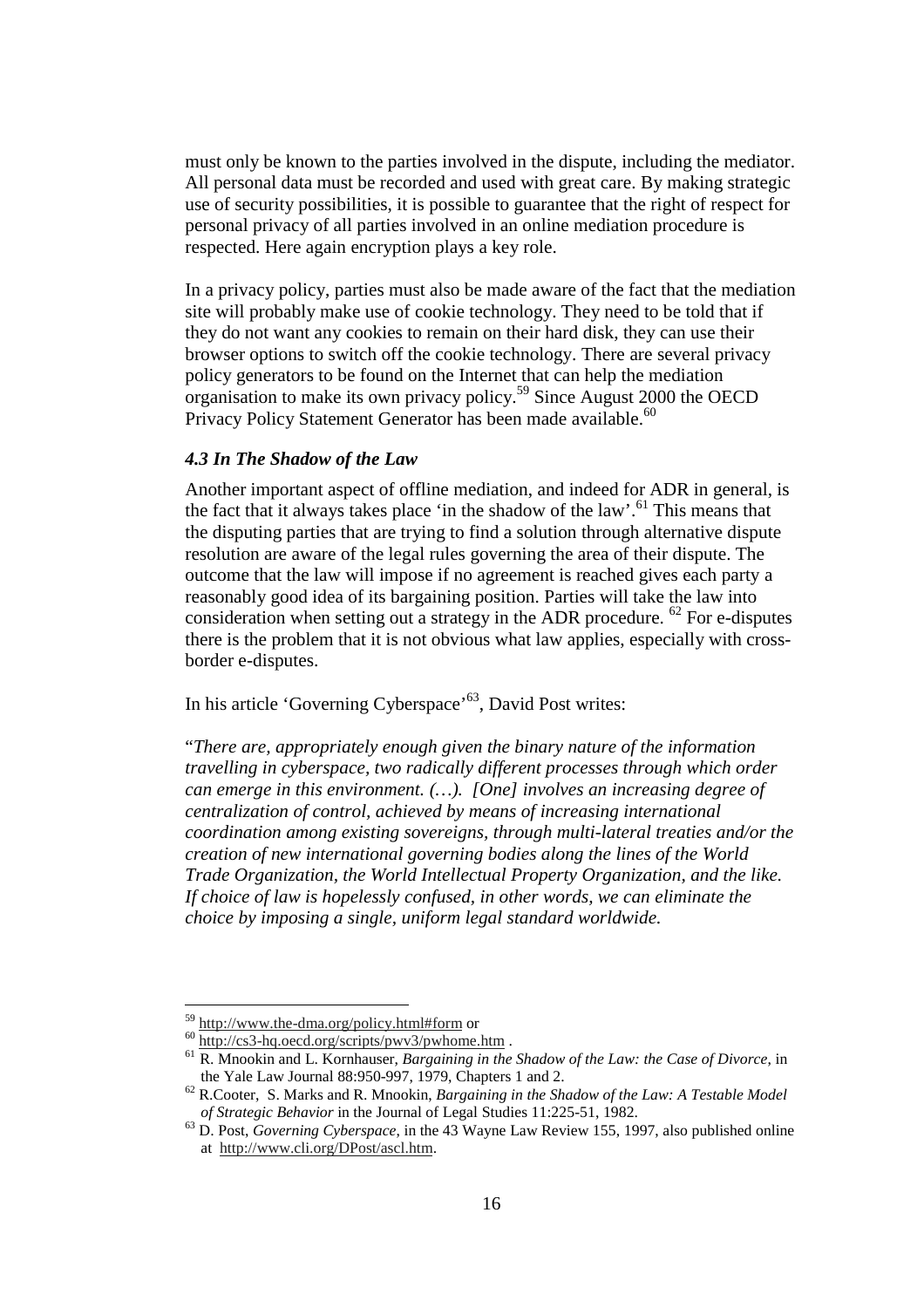must only be known to the parties involved in the dispute, including the mediator. All personal data must be recorded and used with great care. By making strategic use of security possibilities, it is possible to guarantee that the right of respect for personal privacy of all parties involved in an online mediation procedure is respected. Here again encryption plays a key role.

In a privacy policy, parties must also be made aware of the fact that the mediation site will probably make use of cookie technology. They need to be told that if they do not want any cookies to remain on their hard disk, they can use their browser options to switch off the cookie technology. There are several privacy policy generators to be found on the Internet that can help the mediation organisation to make its own privacy policy.59 Since August 2000 the OECD Privacy Policy Statement Generator has been made available.<sup>60</sup>

#### *4.3 In The Shadow of the Law*

Another important aspect of offline mediation, and indeed for ADR in general, is the fact that it always takes place 'in the shadow of the law'.<sup>61</sup> This means that the disputing parties that are trying to find a solution through alternative dispute resolution are aware of the legal rules governing the area of their dispute. The outcome that the law will impose if no agreement is reached gives each party a reasonably good idea of its bargaining position. Parties will take the law into consideration when setting out a strategy in the ADR procedure.  $62$  For e-disputes there is the problem that it is not obvious what law applies, especially with crossborder e-disputes.

In his article 'Governing Cyberspace'<sup>63</sup>, David Post writes:

"*There are, appropriately enough given the binary nature of the information travelling in cyberspace, two radically different processes through which order can emerge in this environment. (…). [One] involves an increasing degree of centralization of control, achieved by means of increasing international coordination among existing sovereigns, through multi-lateral treaties and/or the creation of new international governing bodies along the lines of the World Trade Organization, the World Intellectual Property Organization, and the like. If choice of law is hopelessly confused, in other words, we can eliminate the choice by imposing a single, uniform legal standard worldwide.*

<sup>&</sup>lt;sup>59</sup> http://www.the-dma.org/policy.html#form or<br><sup>60</sup> http://cs3-hq.oecd.org/scripts/pwv3/pwhome.htm .<br><sup>61</sup> R. Mnookin and L. Kornhauser, *Bargaining in the Shadow of the Law: the Case of Divorce*, in the Yale Law Journal 88:950-997, 1979, Chapters 1 and 2.

 $62$  R.Cooter, S. Marks and R. Mnookin, *Bargaining in the Shadow of the Law: A Testable Model of Strategic Behavior* in the Journal of Legal Studies  $11:225-51$ , 1982.

<sup>&</sup>lt;sup>63</sup> D. Post, *Governing Cyberspace*, in the 43 Wayne Law Review 155, 1997, also published online at http://www.cli.org/DPost/ascl.htm.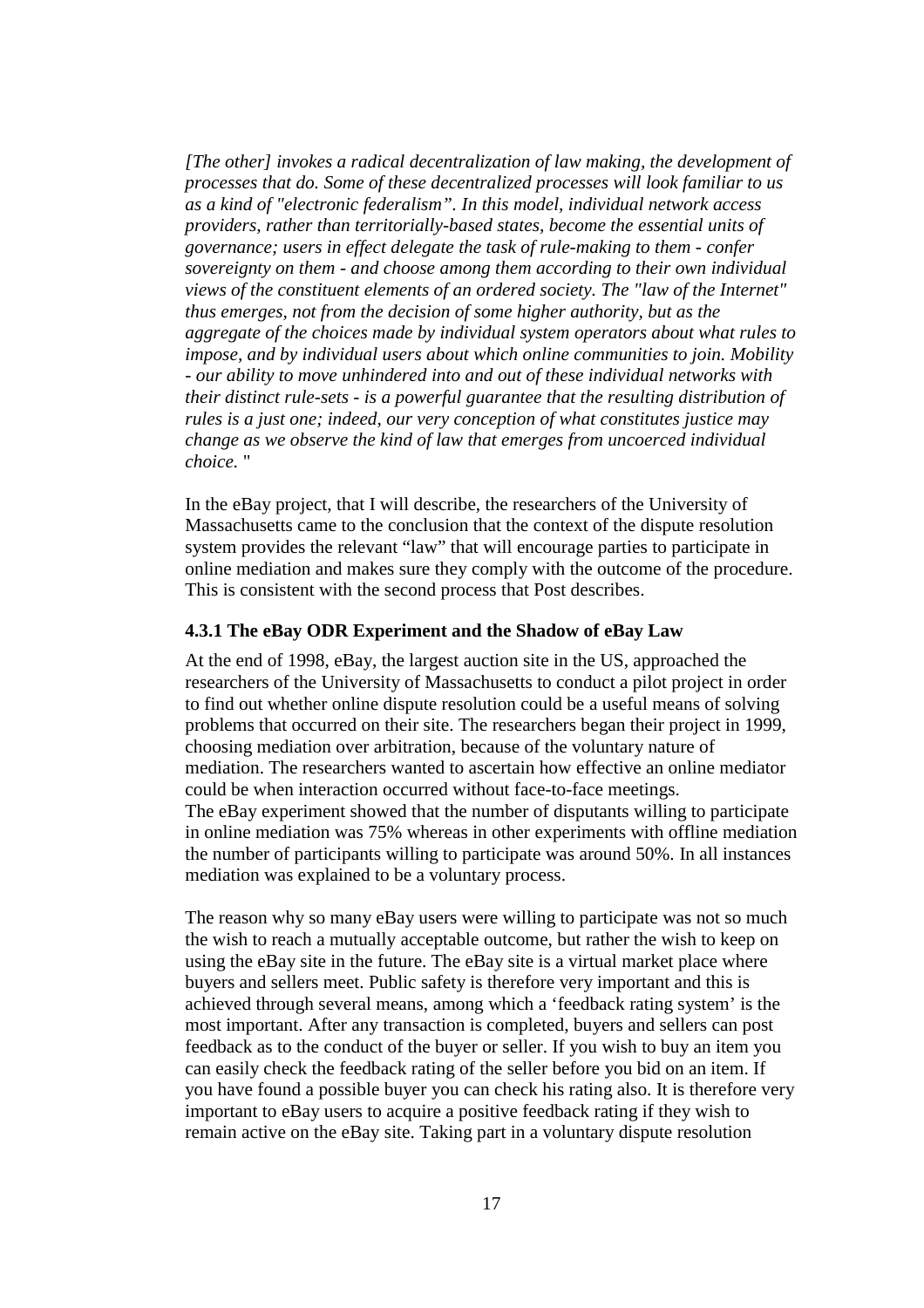*[The other] invokes a radical decentralization of law making, the development of processes that do. Some of these decentralized processes will look familiar to us as a kind of "electronic federalism". In this model, individual network access providers, rather than territorially-based states, become the essential units of governance; users in effect delegate the task of rule-making to them - confer sovereignty on them - and choose among them according to their own individual views of the constituent elements of an ordered society. The "law of the Internet" thus emerges, not from the decision of some higher authority, but as the aggregate of the choices made by individual system operators about what rules to impose, and by individual users about which online communities to join. Mobility - our ability to move unhindered into and out of these individual networks with their distinct rule-sets - is a powerful guarantee that the resulting distribution of rules is a just one; indeed, our very conception of what constitutes justice may change as we observe the kind of law that emerges from uncoerced individual choice.* "

In the eBay project, that I will describe, the researchers of the University of Massachusetts came to the conclusion that the context of the dispute resolution system provides the relevant "law" that will encourage parties to participate in online mediation and makes sure they comply with the outcome of the procedure. This is consistent with the second process that Post describes.

#### **4.3.1 The eBay ODR Experiment and the Shadow of eBay Law**

At the end of 1998, eBay, the largest auction site in the US, approached the researchers of the University of Massachusetts to conduct a pilot project in order to find out whether online dispute resolution could be a useful means of solving problems that occurred on their site. The researchers began their project in 1999, choosing mediation over arbitration, because of the voluntary nature of mediation. The researchers wanted to ascertain how effective an online mediator could be when interaction occurred without face-to-face meetings. The eBay experiment showed that the number of disputants willing to participate in online mediation was 75% whereas in other experiments with offline mediation the number of participants willing to participate was around 50%. In all instances mediation was explained to be a voluntary process.

The reason why so many eBay users were willing to participate was not so much the wish to reach a mutually acceptable outcome, but rather the wish to keep on using the eBay site in the future. The eBay site is a virtual market place where buyers and sellers meet. Public safety is therefore very important and this is achieved through several means, among which a 'feedback rating system' is the most important. After any transaction is completed, buyers and sellers can post feedback as to the conduct of the buyer or seller. If you wish to buy an item you can easily check the feedback rating of the seller before you bid on an item. If you have found a possible buyer you can check his rating also. It is therefore very important to eBay users to acquire a positive feedback rating if they wish to remain active on the eBay site. Taking part in a voluntary dispute resolution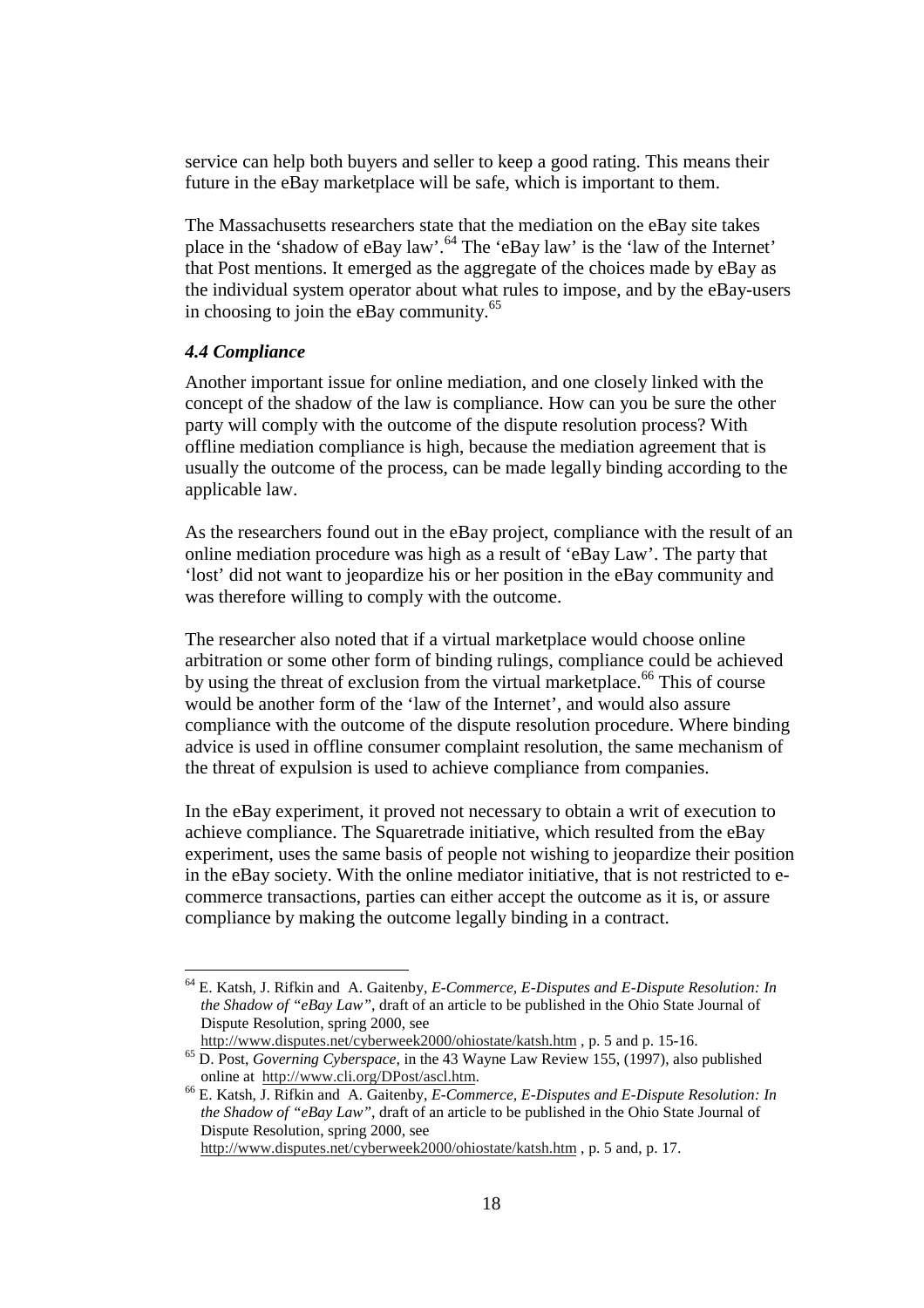service can help both buyers and seller to keep a good rating. This means their future in the eBay marketplace will be safe, which is important to them.

The Massachusetts researchers state that the mediation on the eBay site takes place in the 'shadow of eBay law'. 64 The 'eBay law' is the 'law of the Internet' that Post mentions. It emerged as the aggregate of the choices made by eBay as the individual system operator about what rules to impose, and by the eBay-users in choosing to join the eBay community. $65$ 

#### *4.4 Compliance*

 $\overline{a}$ 

Another important issue for online mediation, and one closely linked with the concept of the shadow of the law is compliance. How can you be sure the other party will comply with the outcome of the dispute resolution process? With offline mediation compliance is high, because the mediation agreement that is usually the outcome of the process, can be made legally binding according to the applicable law.

As the researchers found out in the eBay project, compliance with the result of an online mediation procedure was high as a result of 'eBay Law'. The party that 'lost' did not want to jeopardize his or her position in the eBay community and was therefore willing to comply with the outcome.

The researcher also noted that if a virtual marketplace would choose online arbitration or some other form of binding rulings, compliance could be achieved by using the threat of exclusion from the virtual marketplace.<sup>66</sup> This of course would be another form of the 'law of the Internet', and would also assure compliance with the outcome of the dispute resolution procedure. Where binding advice is used in offline consumer complaint resolution, the same mechanism of the threat of expulsion is used to achieve compliance from companies.

In the eBay experiment, it proved not necessary to obtain a writ of execution to achieve compliance. The Squaretrade initiative, which resulted from the eBay experiment, uses the same basis of people not wishing to jeopardize their position in the eBay society. With the online mediator initiative, that is not restricted to ecommerce transactions, parties can either accept the outcome as it is, or assure compliance by making the outcome legally binding in a contract.

<sup>64</sup> E. Katsh, J. Rifkin and A. Gaitenby, *E-Commerce, E-Disputes and E-Dispute Resolution: In the Shadow of "eBay Law"*, draft of an article to be published in the Ohio State Journal of Dispute Resolution, spring 2000, see

http://www.disputes.net/cyberweek2000/ohiostate/katsh.htm , p. 5 and p. 15-16. 65 D. Post, *Governing Cyberspace*, in the 43 Wayne Law Review 155, (1997), also published

online at http://www.cli.org/DPost/ascl.htm. 66 E. Katsh, J. Rifkin and A. Gaitenby, *E-Commerce, E-Disputes and E-Dispute Resolution: In the Shadow of "eBay Law"*, draft of an article to be published in the Ohio State Journal of Dispute Resolution, spring 2000, see http://www.disputes.net/cyberweek2000/ohiostate/katsh.htm , p. 5 and, p. 17.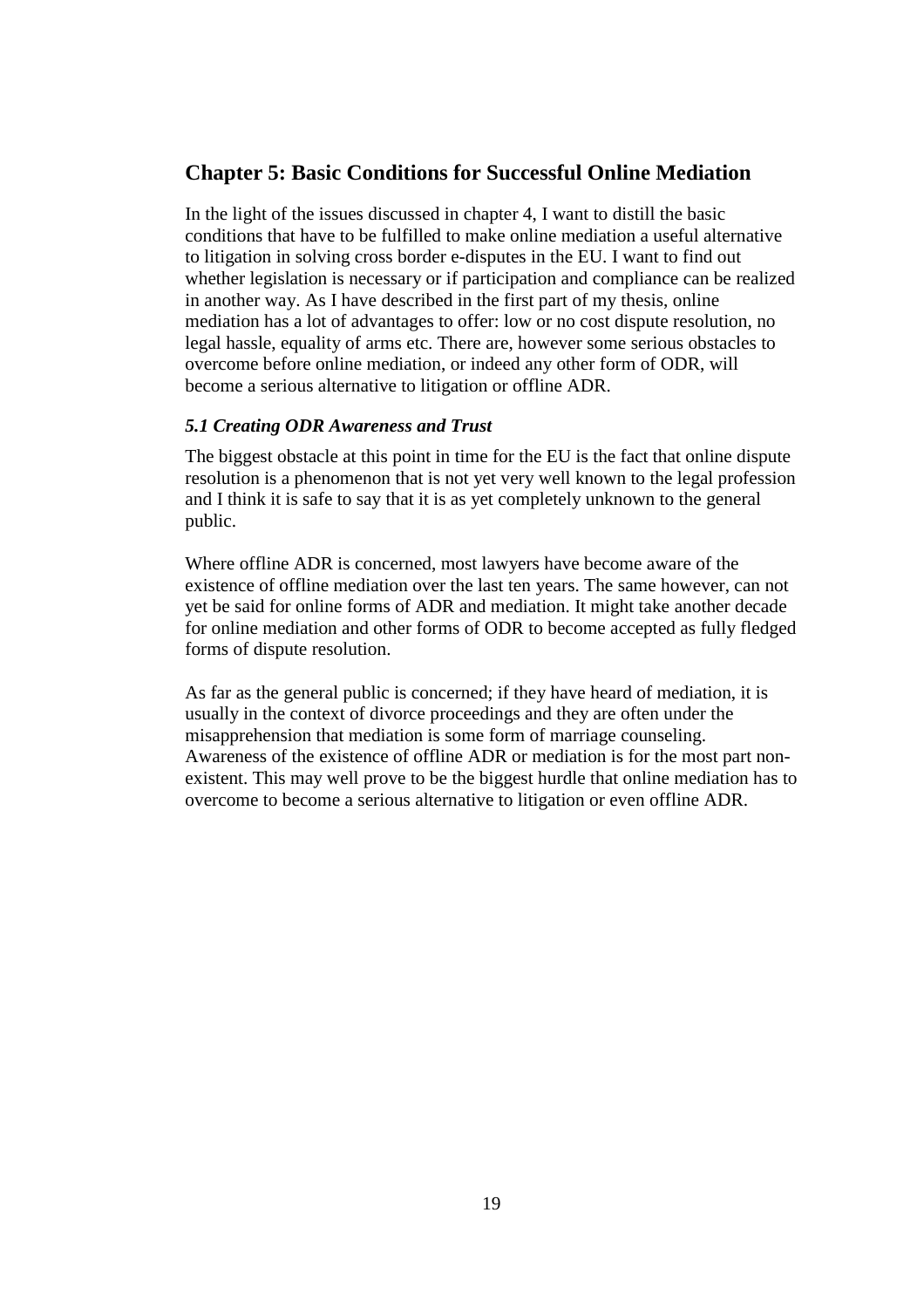## **Chapter 5: Basic Conditions for Successful Online Mediation**

In the light of the issues discussed in chapter 4, I want to distill the basic conditions that have to be fulfilled to make online mediation a useful alternative to litigation in solving cross border e-disputes in the EU. I want to find out whether legislation is necessary or if participation and compliance can be realized in another way. As I have described in the first part of my thesis, online mediation has a lot of advantages to offer: low or no cost dispute resolution, no legal hassle, equality of arms etc. There are, however some serious obstacles to overcome before online mediation, or indeed any other form of ODR, will become a serious alternative to litigation or offline ADR.

#### *5.1 Creating ODR Awareness and Trust*

The biggest obstacle at this point in time for the EU is the fact that online dispute resolution is a phenomenon that is not yet very well known to the legal profession and I think it is safe to say that it is as yet completely unknown to the general public.

Where offline ADR is concerned, most lawyers have become aware of the existence of offline mediation over the last ten years. The same however, can not yet be said for online forms of ADR and mediation. It might take another decade for online mediation and other forms of ODR to become accepted as fully fledged forms of dispute resolution.

As far as the general public is concerned; if they have heard of mediation, it is usually in the context of divorce proceedings and they are often under the misapprehension that mediation is some form of marriage counseling. Awareness of the existence of offline ADR or mediation is for the most part nonexistent. This may well prove to be the biggest hurdle that online mediation has to overcome to become a serious alternative to litigation or even offline ADR.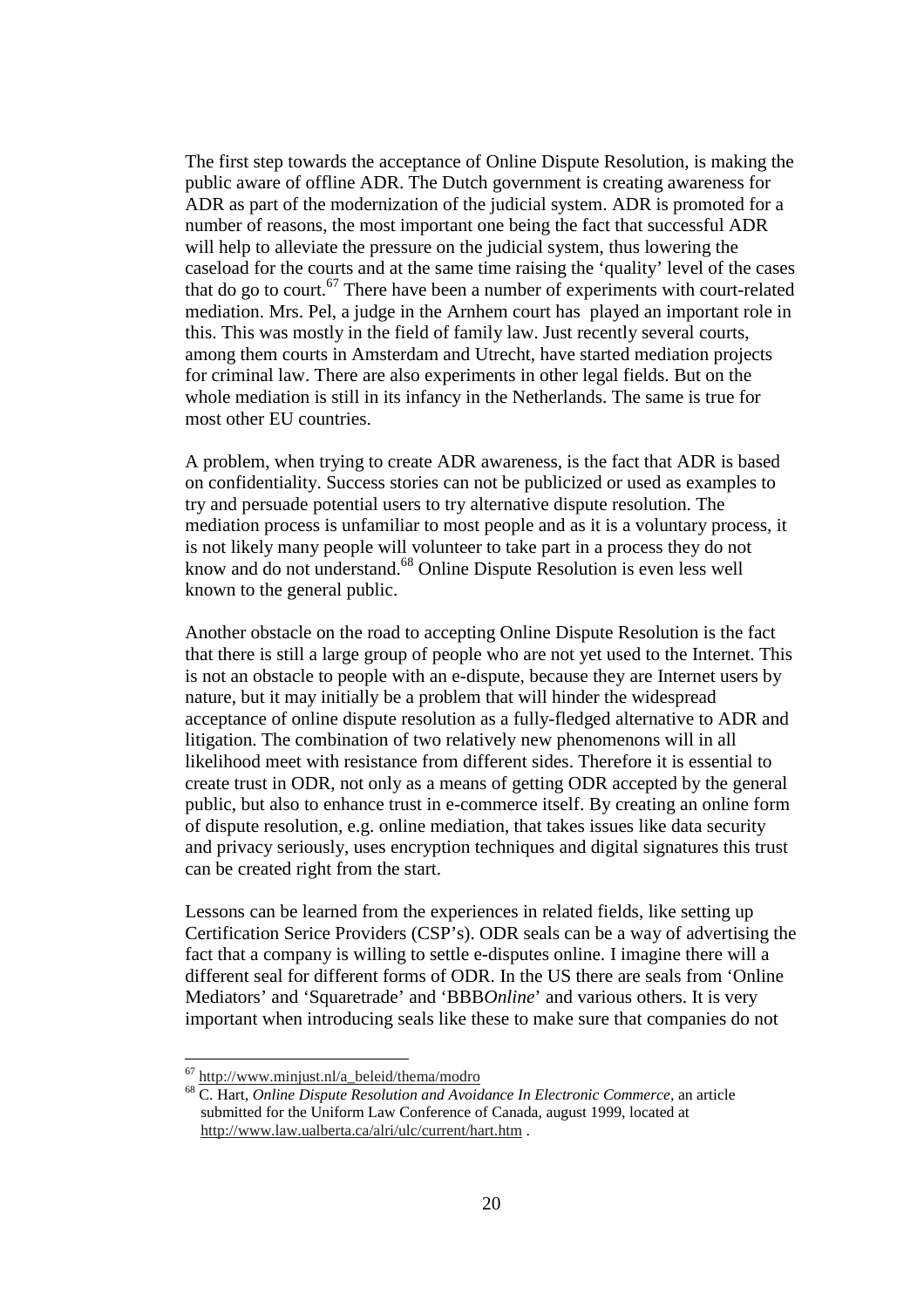The first step towards the acceptance of Online Dispute Resolution, is making the public aware of offline ADR. The Dutch government is creating awareness for ADR as part of the modernization of the judicial system. ADR is promoted for a number of reasons, the most important one being the fact that successful ADR will help to alleviate the pressure on the judicial system, thus lowering the caseload for the courts and at the same time raising the 'quality' level of the cases that do go to court.<sup>67</sup> There have been a number of experiments with court-related mediation. Mrs. Pel, a judge in the Arnhem court has played an important role in this. This was mostly in the field of family law. Just recently several courts, among them courts in Amsterdam and Utrecht, have started mediation projects for criminal law. There are also experiments in other legal fields. But on the whole mediation is still in its infancy in the Netherlands. The same is true for most other EU countries.

A problem, when trying to create ADR awareness, is the fact that ADR is based on confidentiality. Success stories can not be publicized or used as examples to try and persuade potential users to try alternative dispute resolution. The mediation process is unfamiliar to most people and as it is a voluntary process, it is not likely many people will volunteer to take part in a process they do not know and do not understand.68 Online Dispute Resolution is even less well known to the general public.

Another obstacle on the road to accepting Online Dispute Resolution is the fact that there is still a large group of people who are not yet used to the Internet. This is not an obstacle to people with an e-dispute, because they are Internet users by nature, but it may initially be a problem that will hinder the widespread acceptance of online dispute resolution as a fully-fledged alternative to ADR and litigation. The combination of two relatively new phenomenons will in all likelihood meet with resistance from different sides. Therefore it is essential to create trust in ODR, not only as a means of getting ODR accepted by the general public, but also to enhance trust in e-commerce itself. By creating an online form of dispute resolution, e.g. online mediation, that takes issues like data security and privacy seriously, uses encryption techniques and digital signatures this trust can be created right from the start.

Lessons can be learned from the experiences in related fields, like setting up Certification Serice Providers (CSP's). ODR seals can be a way of advertising the fact that a company is willing to settle e-disputes online. I imagine there will a different seal for different forms of ODR. In the US there are seals from 'Online Mediators' and 'Squaretrade' and 'BBB*Online*' and various others. It is very important when introducing seals like these to make sure that companies do not

<sup>&</sup>lt;sup>67</sup> http://www.minjust.nl/a\_beleid/thema/modro 68 C. Hart, *Online Dispute Resolution and Avoidance In Electronic Commerce*, an article submitted for the Uniform Law Conference of Canada, august 1999, located at http://www.law.ualberta.ca/alri/ulc/current/hart.htm .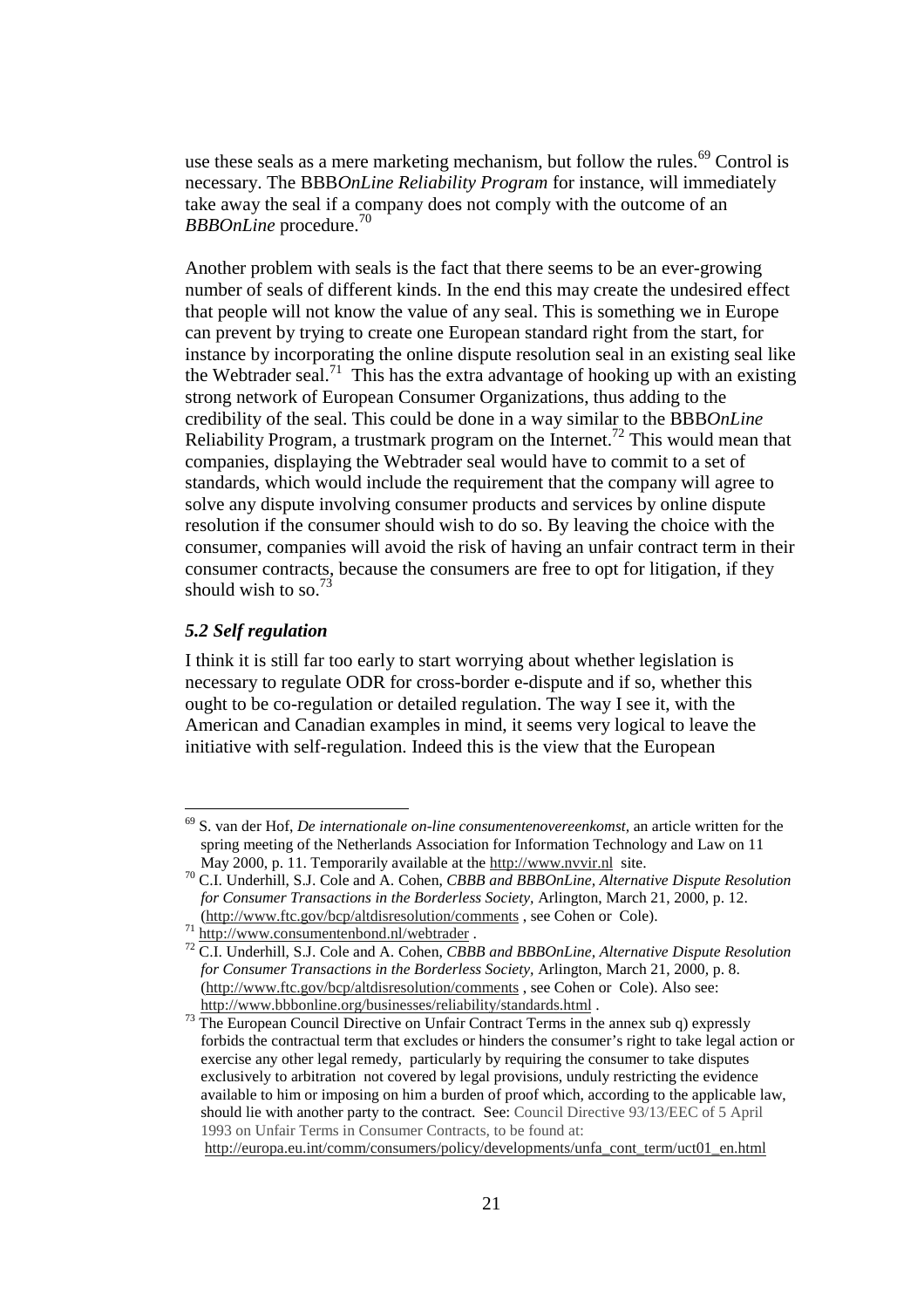use these seals as a mere marketing mechanism, but follow the rules.<sup>69</sup> Control is necessary. The BBB*OnLine Reliability Program* for instance, will immediately take away the seal if a company does not comply with the outcome of an *BBBOnLine* procedure.<sup>70</sup>

Another problem with seals is the fact that there seems to be an ever-growing number of seals of different kinds. In the end this may create the undesired effect that people will not know the value of any seal. This is something we in Europe can prevent by trying to create one European standard right from the start, for instance by incorporating the online dispute resolution seal in an existing seal like the Webtrader seal.<sup>71</sup> This has the extra advantage of hooking up with an existing strong network of European Consumer Organizations, thus adding to the credibility of the seal. This could be done in a way similar to the BBB*OnLine* Reliability Program, a trustmark program on the Internet.<sup>72</sup> This would mean that companies, displaying the Webtrader seal would have to commit to a set of standards, which would include the requirement that the company will agree to solve any dispute involving consumer products and services by online dispute resolution if the consumer should wish to do so. By leaving the choice with the consumer, companies will avoid the risk of having an unfair contract term in their consumer contracts, because the consumers are free to opt for litigation, if they should wish to so.<sup>73</sup>

#### *5.2 Self regulation*

 $\overline{a}$ 

I think it is still far too early to start worrying about whether legislation is necessary to regulate ODR for cross-border e-dispute and if so, whether this ought to be co-regulation or detailed regulation. The way I see it, with the American and Canadian examples in mind, it seems very logical to leave the initiative with self-regulation. Indeed this is the view that the European

<sup>69</sup> S. van der Hof, *De internationale on-line consumentenovereenkomst,* an article written for the spring meeting of the Netherlands Association for Information Technology and Law on 11

May 2000, p. 11. Temporarily available at the http://www.nvvir.nl site. 70 C.I. Underhill, S.J. Cole and A. Cohen, *CBBB and BBBOnLine, Alternative Dispute Resolution for Consumer Transactions in the Borderless Society,* Arlington, March 21, 2000*,* p. 12.

 <sup>(</sup>http://www.ftc.gov/bcp/altdisresolution/comments , see Cohen or Cole). <sup>71</sup> http://www.consumentenbond.nl/webtrader . 72 C.I. Underhill, S.J. Cole and A. Cohen, *CBBB and BBBOnLine, Alternative Dispute Resolution for Consumer Transactions in the Borderless Society,* Arlington, March 21, 2000*,* p. 8. (http://www.ftc.gov/bcp/altdisresolution/comments , see Cohen or Cole). Also see:<br>http://www.bbbonline.org/businesses/reliability/standards.html .

 $\frac{1}{73}$  The European Council Directive on Unfair Contract Terms in the annex sub q) expressly forbids the contractual term that excludes or hinders the consumer's right to take legal action or exercise any other legal remedy, particularly by requiring the consumer to take disputes exclusively to arbitration not covered by legal provisions, unduly restricting the evidence available to him or imposing on him a burden of proof which, according to the applicable law, should lie with another party to the contract. See: Council Directive 93/13/EEC of 5 April 1993 on Unfair Terms in Consumer Contracts, to be found at: http://europa.eu.int/comm/consumers/policy/developments/unfa\_cont\_term/uct01\_en.html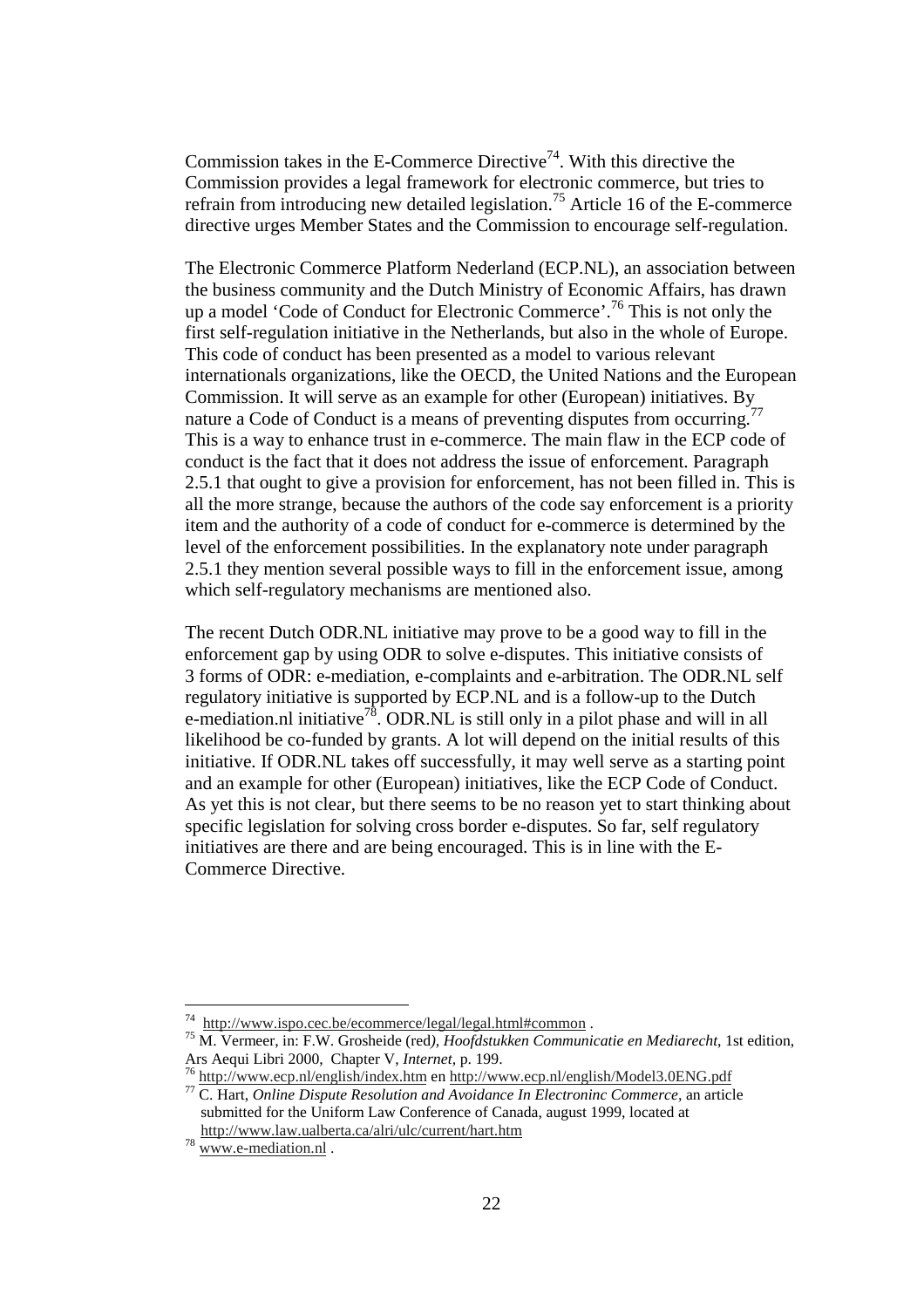Commission takes in the E-Commerce Directive<sup>74</sup>. With this directive the Commission provides a legal framework for electronic commerce, but tries to refrain from introducing new detailed legislation.<sup>75</sup> Article 16 of the E-commerce directive urges Member States and the Commission to encourage self-regulation.

The Electronic Commerce Platform Nederland (ECP.NL), an association between the business community and the Dutch Ministry of Economic Affairs, has drawn up a model 'Code of Conduct for Electronic Commerce'.<sup>76</sup> This is not only the first self-regulation initiative in the Netherlands, but also in the whole of Europe. This code of conduct has been presented as a model to various relevant internationals organizations, like the OECD, the United Nations and the European Commission. It will serve as an example for other (European) initiatives. By nature a Code of Conduct is a means of preventing disputes from occurring.<sup>7</sup> This is a way to enhance trust in e-commerce. The main flaw in the ECP code of conduct is the fact that it does not address the issue of enforcement. Paragraph 2.5.1 that ought to give a provision for enforcement, has not been filled in. This is all the more strange, because the authors of the code say enforcement is a priority item and the authority of a code of conduct for e-commerce is determined by the level of the enforcement possibilities. In the explanatory note under paragraph 2.5.1 they mention several possible ways to fill in the enforcement issue, among which self-regulatory mechanisms are mentioned also.

The recent Dutch ODR.NL initiative may prove to be a good way to fill in the enforcement gap by using ODR to solve e-disputes. This initiative consists of 3 forms of ODR: e-mediation, e-complaints and e-arbitration. The ODR.NL self regulatory initiative is supported by ECP.NL and is a follow-up to the Dutch e-mediation.nl initiative<sup>78</sup>. ODR.NL is still only in a pilot phase and will in all likelihood be co-funded by grants. A lot will depend on the initial results of this initiative. If ODR.NL takes off successfully, it may well serve as a starting point and an example for other (European) initiatives, like the ECP Code of Conduct. As yet this is not clear, but there seems to be no reason yet to start thinking about specific legislation for solving cross border e-disputes. So far, self regulatory initiatives are there and are being encouraged. This is in line with the E-Commerce Directive.

<sup>&</sup>lt;sup>74</sup> http://www.ispo.cec.be/ecommerce/legal/legal.html#common.

<sup>&</sup>lt;sup>75</sup> M. Vermeer, in: F.W. Grosheide (red), *Hoofdstukken Communicatie en Mediarecht*, 1st edition, Ars Aequi Libri 2000, Chapter V, *Internet*, p. 199.<br><sup>76</sup> http://www.ecp.nl/english/index.htm en http://www.ecp.nl/english/Model3.0ENG.pdf<br><sup>77</sup> C. Hart. *Online Dispute Resolution and Avoidance In Electroninc Commerce*, an

submitted for the Uniform Law Conference of Canada, august 1999, located at  $^{78}$   $\overline{\rm{http://www.law.ualberta.ca/alri/ulc/current/hart.html}}$   $^{78}$  www.e-mediation.nl .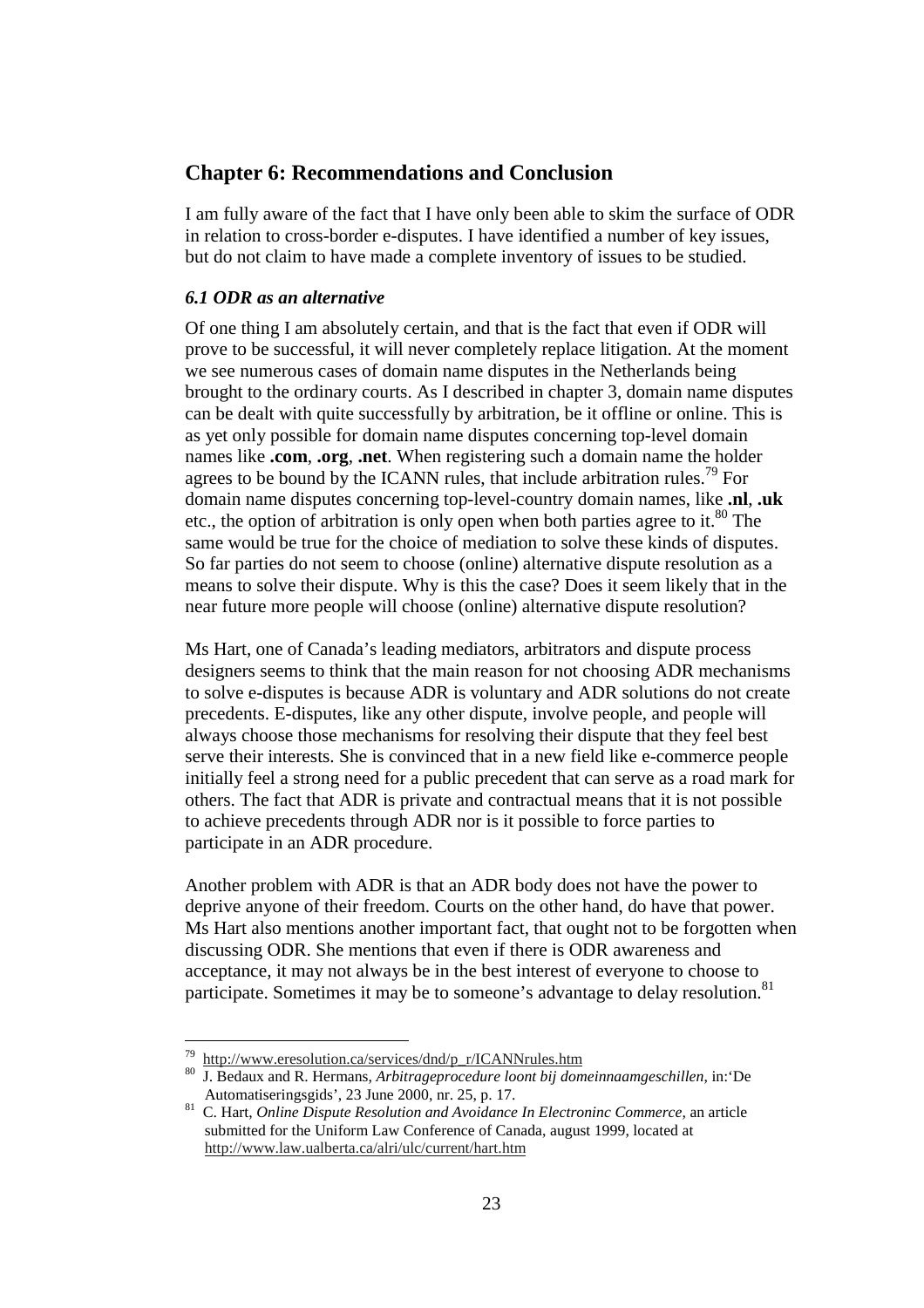## **Chapter 6: Recommendations and Conclusion**

I am fully aware of the fact that I have only been able to skim the surface of ODR in relation to cross-border e-disputes. I have identified a number of key issues, but do not claim to have made a complete inventory of issues to be studied.

#### *6.1 ODR as an alternative*

Of one thing I am absolutely certain, and that is the fact that even if ODR will prove to be successful, it will never completely replace litigation. At the moment we see numerous cases of domain name disputes in the Netherlands being brought to the ordinary courts. As I described in chapter 3, domain name disputes can be dealt with quite successfully by arbitration, be it offline or online. This is as yet only possible for domain name disputes concerning top-level domain names like **.com**, **.org**, **.net**. When registering such a domain name the holder agrees to be bound by the ICANN rules, that include arbitration rules.<sup>79</sup> For domain name disputes concerning top-level-country domain names, like **.nl**, **.uk** etc., the option of arbitration is only open when both parties agree to it.<sup>80</sup> The same would be true for the choice of mediation to solve these kinds of disputes. So far parties do not seem to choose (online) alternative dispute resolution as a means to solve their dispute. Why is this the case? Does it seem likely that in the near future more people will choose (online) alternative dispute resolution?

Ms Hart, one of Canada's leading mediators, arbitrators and dispute process designers seems to think that the main reason for not choosing ADR mechanisms to solve e-disputes is because ADR is voluntary and ADR solutions do not create precedents. E-disputes, like any other dispute, involve people, and people will always choose those mechanisms for resolving their dispute that they feel best serve their interests. She is convinced that in a new field like e-commerce people initially feel a strong need for a public precedent that can serve as a road mark for others. The fact that ADR is private and contractual means that it is not possible to achieve precedents through ADR nor is it possible to force parties to participate in an ADR procedure.

Another problem with ADR is that an ADR body does not have the power to deprive anyone of their freedom. Courts on the other hand, do have that power. Ms Hart also mentions another important fact, that ought not to be forgotten when discussing ODR. She mentions that even if there is ODR awareness and acceptance, it may not always be in the best interest of everyone to choose to participate. Sometimes it may be to someone's advantage to delay resolution.<sup>81</sup>

<sup>79</sup> http://www.eresolution.ca/services/dnd/p\_r/ICANNrules.htm 80 J. Bedaux and R. Hermans, *Arbitrageprocedure loont bij domeinnaamgeschillen*, in:'De

Automatiseringsgids', 23 June 2000, nr. 25, p. 17. 81 C. Hart, *Online Dispute Resolution and Avoidance In Electroninc Commerce,* an article submitted for the Uniform Law Conference of Canada, august 1999, located at http://www.law.ualberta.ca/alri/ulc/current/hart.htm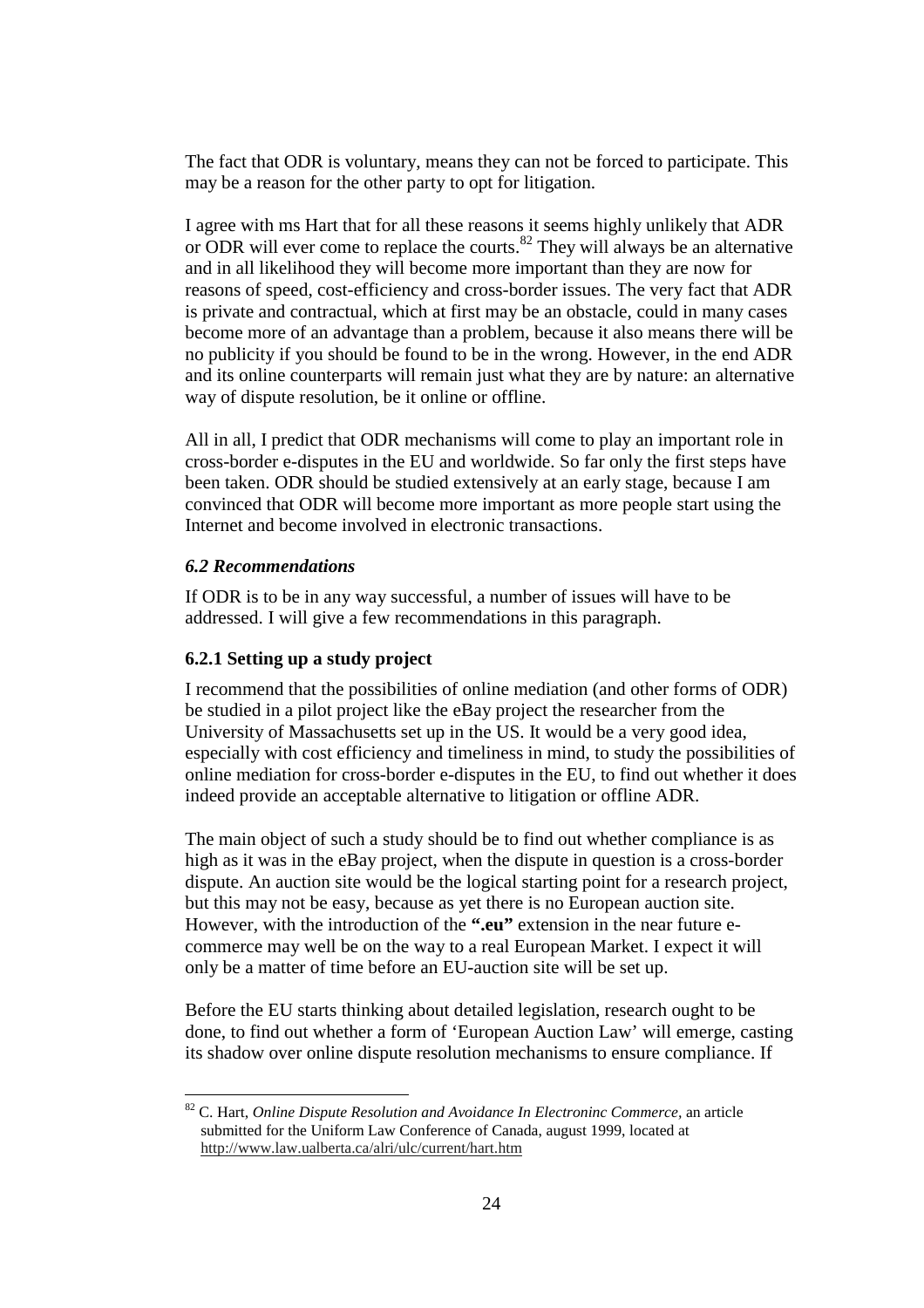The fact that ODR is voluntary, means they can not be forced to participate. This may be a reason for the other party to opt for litigation.

I agree with ms Hart that for all these reasons it seems highly unlikely that ADR or ODR will ever come to replace the courts.<sup>82</sup> They will always be an alternative and in all likelihood they will become more important than they are now for reasons of speed, cost-efficiency and cross-border issues. The very fact that ADR is private and contractual, which at first may be an obstacle, could in many cases become more of an advantage than a problem, because it also means there will be no publicity if you should be found to be in the wrong. However, in the end ADR and its online counterparts will remain just what they are by nature: an alternative way of dispute resolution, be it online or offline.

All in all, I predict that ODR mechanisms will come to play an important role in cross-border e-disputes in the EU and worldwide. So far only the first steps have been taken. ODR should be studied extensively at an early stage, because I am convinced that ODR will become more important as more people start using the Internet and become involved in electronic transactions.

#### *6.2 Recommendations*

 $\overline{a}$ 

If ODR is to be in any way successful, a number of issues will have to be addressed. I will give a few recommendations in this paragraph.

#### **6.2.1 Setting up a study project**

I recommend that the possibilities of online mediation (and other forms of ODR) be studied in a pilot project like the eBay project the researcher from the University of Massachusetts set up in the US. It would be a very good idea, especially with cost efficiency and timeliness in mind, to study the possibilities of online mediation for cross-border e-disputes in the EU, to find out whether it does indeed provide an acceptable alternative to litigation or offline ADR.

The main object of such a study should be to find out whether compliance is as high as it was in the eBay project, when the dispute in question is a cross-border dispute. An auction site would be the logical starting point for a research project, but this may not be easy, because as yet there is no European auction site. However, with the introduction of the **".eu"** extension in the near future ecommerce may well be on the way to a real European Market. I expect it will only be a matter of time before an EU-auction site will be set up.

Before the EU starts thinking about detailed legislation, research ought to be done, to find out whether a form of 'European Auction Law' will emerge, casting its shadow over online dispute resolution mechanisms to ensure compliance. If

<sup>82</sup> C. Hart, *Online Dispute Resolution and Avoidance In Electroninc Commerce,* an article submitted for the Uniform Law Conference of Canada, august 1999, located at http://www.law.ualberta.ca/alri/ulc/current/hart.htm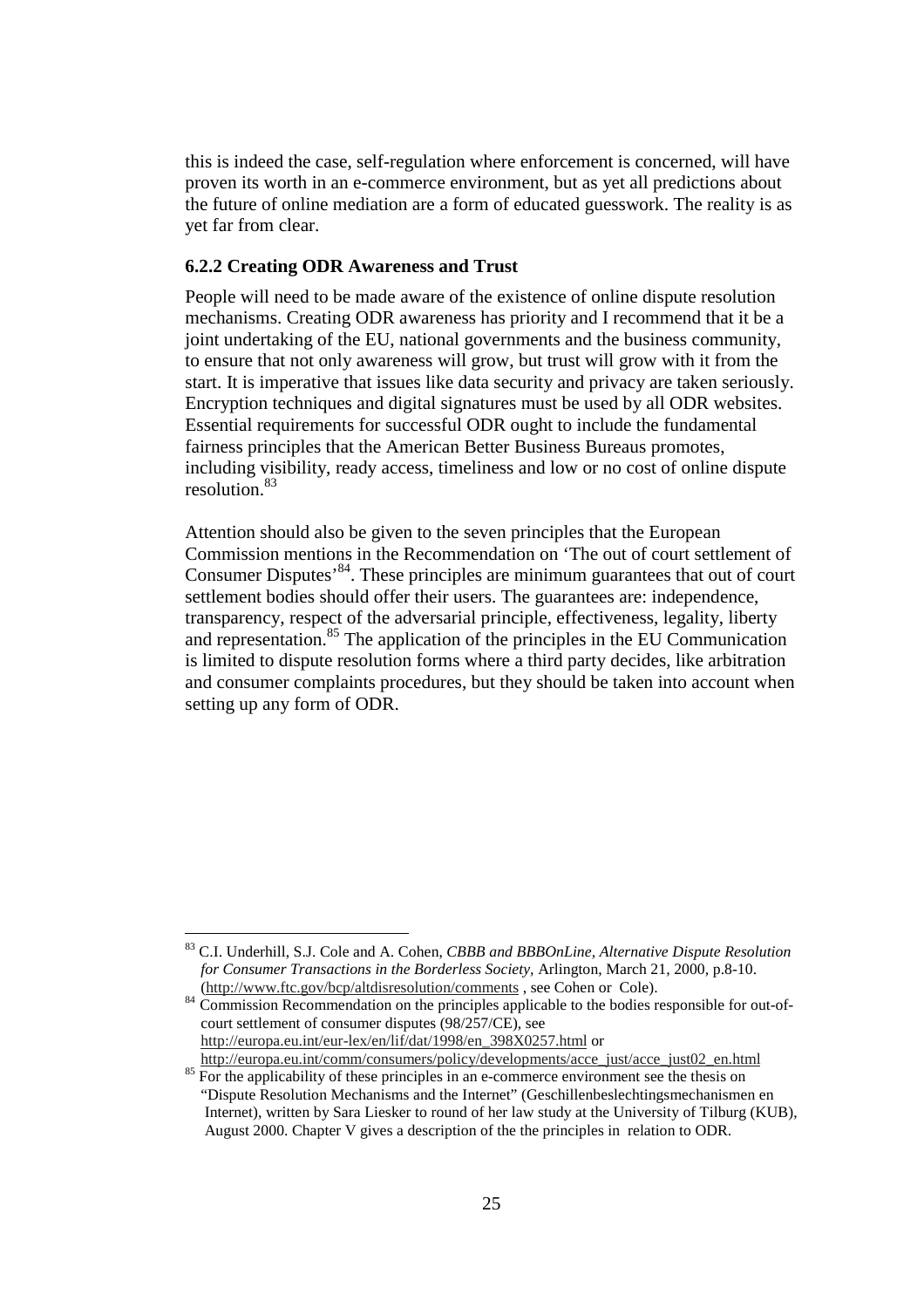this is indeed the case, self-regulation where enforcement is concerned, will have proven its worth in an e-commerce environment, but as yet all predictions about the future of online mediation are a form of educated guesswork. The reality is as yet far from clear.

#### **6.2.2 Creating ODR Awareness and Trust**

 $\overline{a}$ 

People will need to be made aware of the existence of online dispute resolution mechanisms. Creating ODR awareness has priority and I recommend that it be a joint undertaking of the EU, national governments and the business community, to ensure that not only awareness will grow, but trust will grow with it from the start. It is imperative that issues like data security and privacy are taken seriously. Encryption techniques and digital signatures must be used by all ODR websites. Essential requirements for successful ODR ought to include the fundamental fairness principles that the American Better Business Bureaus promotes, including visibility, ready access, timeliness and low or no cost of online dispute  $resolution<sup>83</sup>$ 

Attention should also be given to the seven principles that the European Commission mentions in the Recommendation on 'The out of court settlement of Consumer Disputes<sup>, 84</sup>. These principles are minimum guarantees that out of court settlement bodies should offer their users. The guarantees are: independence, transparency, respect of the adversarial principle, effectiveness, legality, liberty and representation.85 The application of the principles in the EU Communication is limited to dispute resolution forms where a third party decides, like arbitration and consumer complaints procedures, but they should be taken into account when setting up any form of ODR.

<sup>83</sup> C.I. Underhill, S.J. Cole and A. Cohen, *CBBB and BBBOnLine, Alternative Dispute Resolution for Consumer Transactions in the Borderless Society,* Arlington, March 21, 2000*,* p.8-10.

 <sup>(</sup>http://www.ftc.gov/bcp/altdisresolution/comments , see Cohen or Cole). <sup>84</sup> Commission Recommendation on the principles applicable to the bodies responsible for out-of court settlement of consumer disputes (98/257/CE), see http://europa.eu.int/eur-lex/en/lif/dat/1998/en\_398X0257.html or

http://europa.eu.int/comm/consumers/policy/developments/acce\_just/acce\_just02\_en.html 85 For the applicability of these principles in an e-commerce environment see the thesis on

 <sup>&</sup>quot;Dispute Resolution Mechanisms and the Internet" (Geschillenbeslechtingsmechanismen en Internet), written by Sara Liesker to round of her law study at the University of Tilburg (KUB), August 2000. Chapter V gives a description of the the principles in relation to ODR.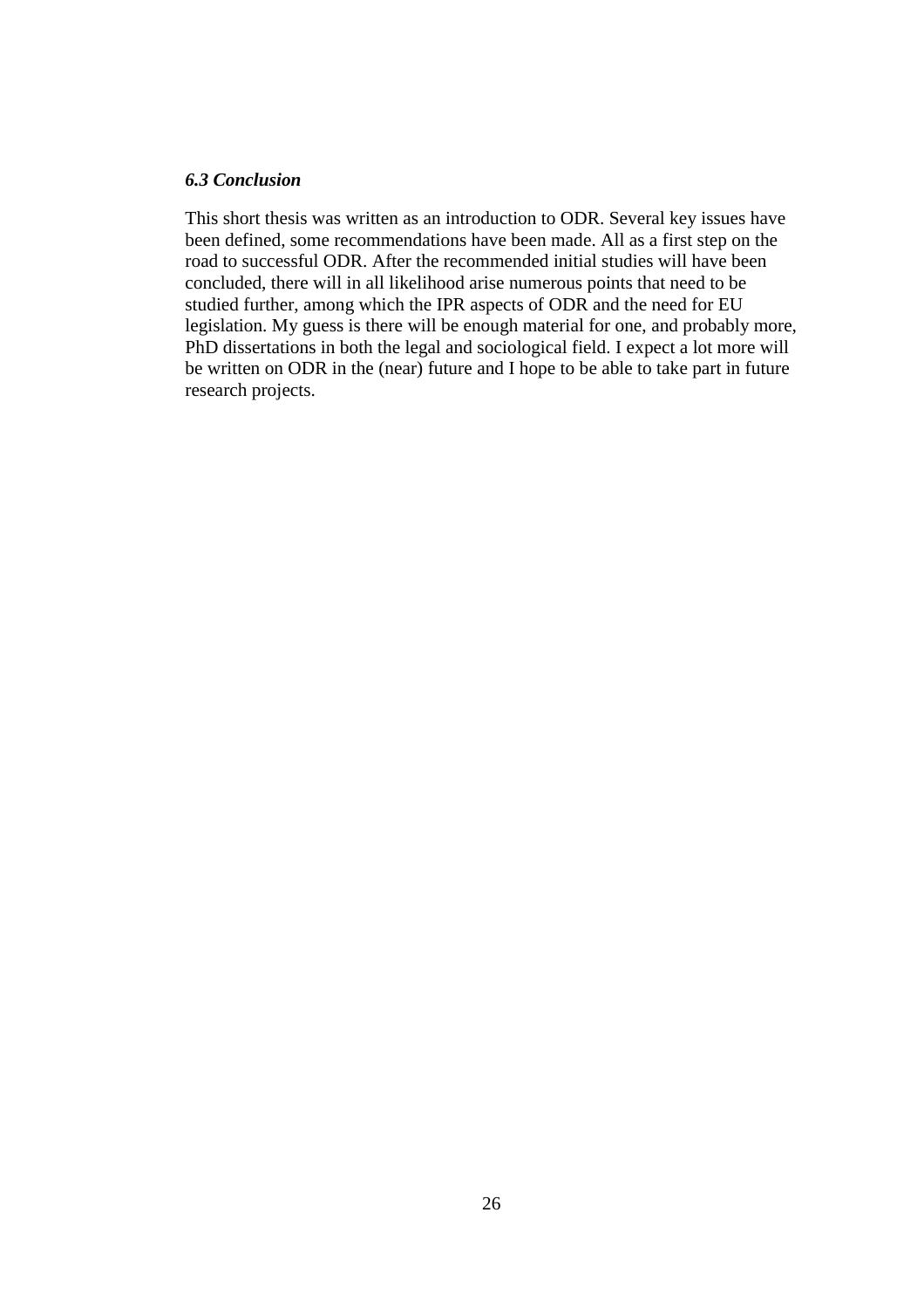#### *6.3 Conclusion*

This short thesis was written as an introduction to ODR. Several key issues have been defined, some recommendations have been made. All as a first step on the road to successful ODR. After the recommended initial studies will have been concluded, there will in all likelihood arise numerous points that need to be studied further, among which the IPR aspects of ODR and the need for EU legislation. My guess is there will be enough material for one, and probably more, PhD dissertations in both the legal and sociological field. I expect a lot more will be written on ODR in the (near) future and I hope to be able to take part in future research projects.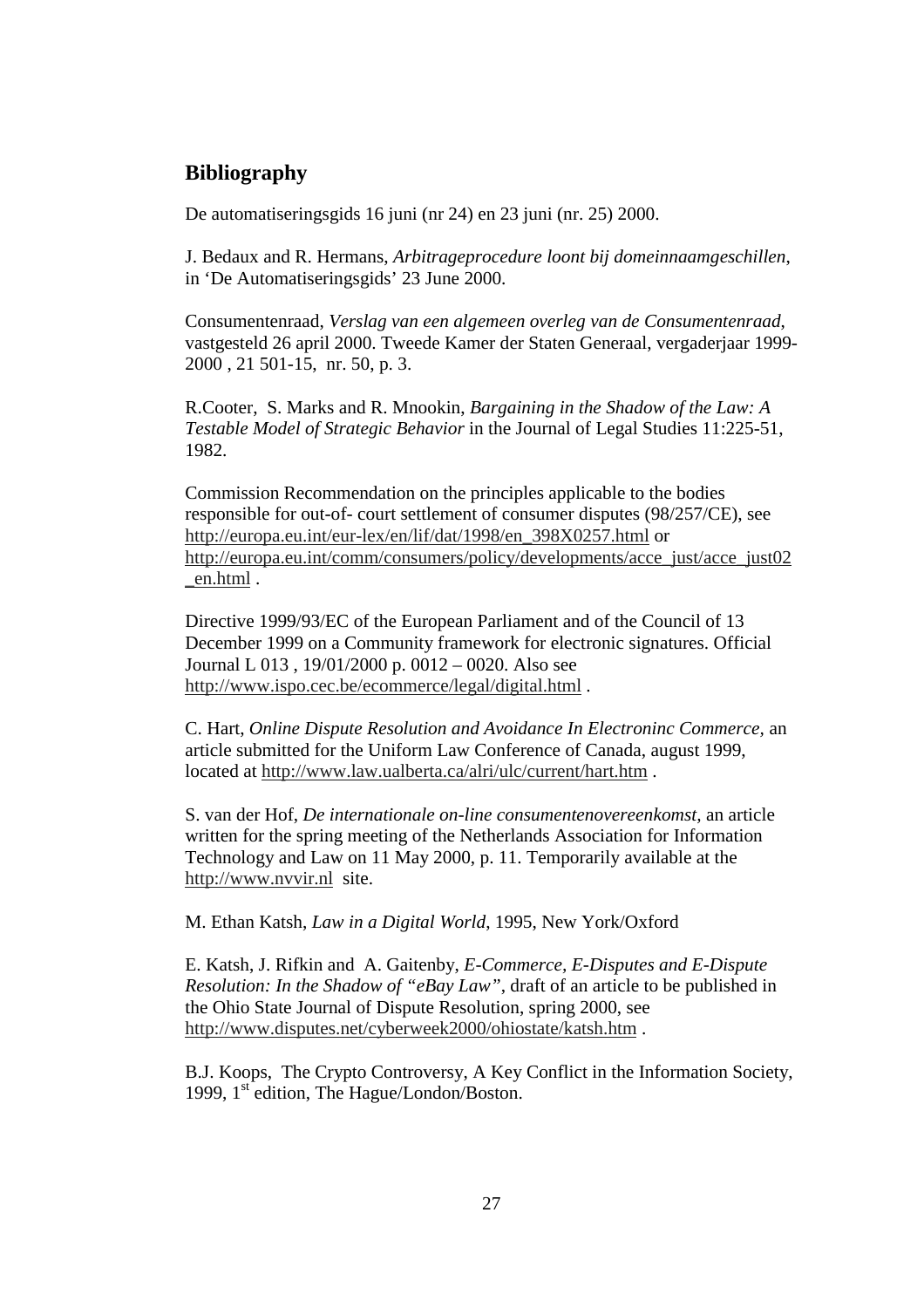## **Bibliography**

De automatiseringsgids 16 juni (nr 24) en 23 juni (nr. 25) 2000.

J. Bedaux and R. Hermans, *Arbitrageprocedure loont bij domeinnaamgeschillen*, in 'De Automatiseringsgids' 23 June 2000.

Consumentenraad, *Verslag van een algemeen overleg van de Consumentenraad*, vastgesteld 26 april 2000. Tweede Kamer der Staten Generaal, vergaderjaar 1999- 2000 , 21 501-15, nr. 50, p. 3.

R.Cooter, S. Marks and R. Mnookin, *Bargaining in the Shadow of the Law: A Testable Model of Strategic Behavior* in the Journal of Legal Studies 11:225-51, 1982.

Commission Recommendation on the principles applicable to the bodies responsible for out-of- court settlement of consumer disputes (98/257/CE), see http://europa.eu.int/eur-lex/en/lif/dat/1998/en\_398X0257.html or http://europa.eu.int/comm/consumers/policy/developments/acce\_just/acce\_just02 \_en.html .

Directive 1999/93/EC of the European Parliament and of the Council of 13 December 1999 on a Community framework for electronic signatures. Official Journal L 013 , 19/01/2000 p. 0012 – 0020. Also see http://www.ispo.cec.be/ecommerce/legal/digital.html .

C. Hart, *Online Dispute Resolution and Avoidance In Electroninc Commerce,* an article submitted for the Uniform Law Conference of Canada, august 1999, located at http://www.law.ualberta.ca/alri/ulc/current/hart.htm .

S. van der Hof, *De internationale on-line consumentenovereenkomst,* an article written for the spring meeting of the Netherlands Association for Information Technology and Law on 11 May 2000, p. 11. Temporarily available at the http://www.nvvir.nl site.

M. Ethan Katsh, *Law in a Digital World*, 1995, New York/Oxford

E. Katsh, J. Rifkin and A. Gaitenby, *E-Commerce, E-Disputes and E-Dispute Resolution: In the Shadow of "eBay Law"*, draft of an article to be published in the Ohio State Journal of Dispute Resolution, spring 2000, see http://www.disputes.net/cyberweek2000/ohiostate/katsh.htm .

B.J. Koops, The Crypto Controversy, A Key Conflict in the Information Society, 1999,  $1<sup>st</sup>$  edition, The Hague/London/Boston.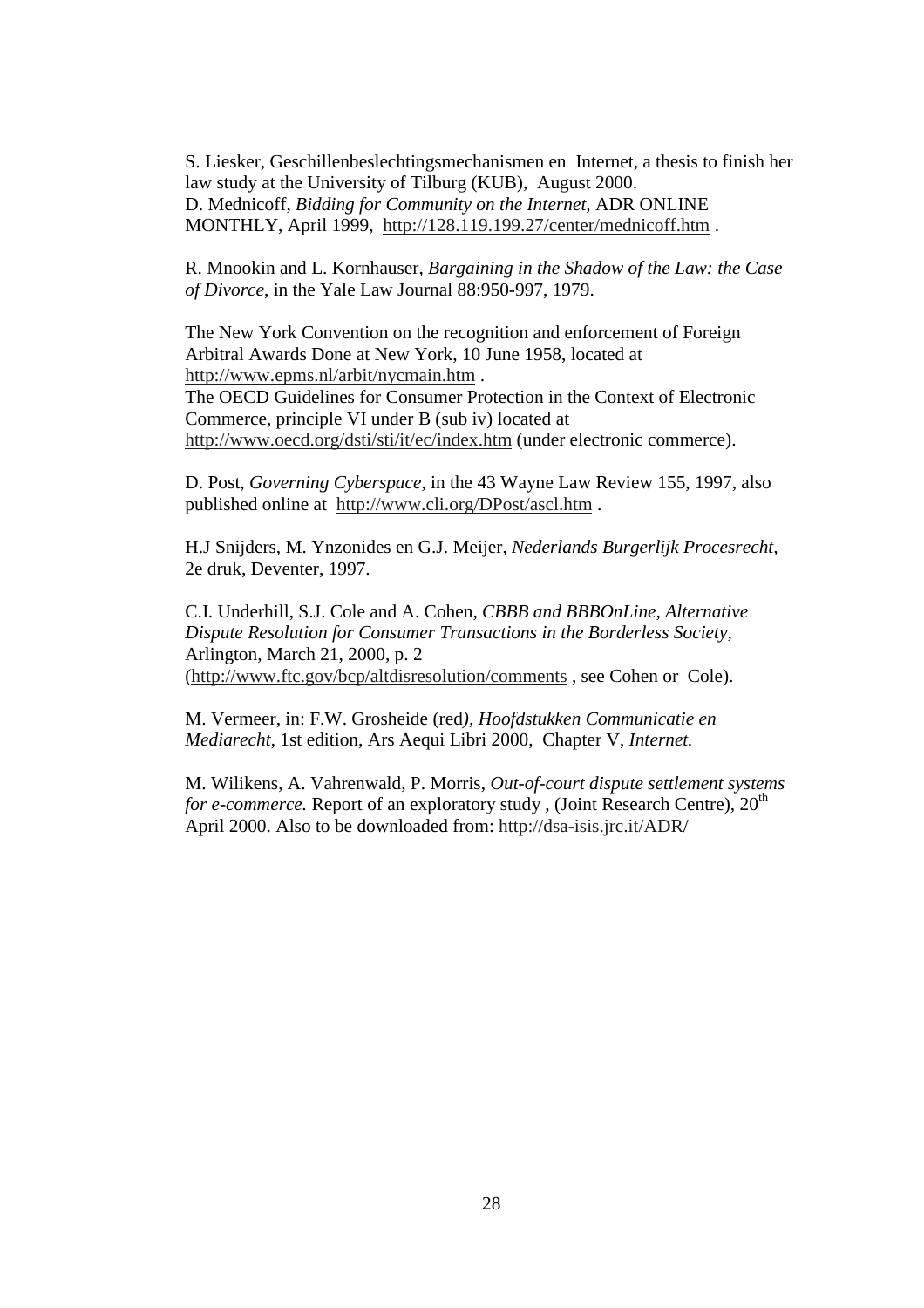S. Liesker, Geschillenbeslechtingsmechanismen en Internet, a thesis to finish her law study at the University of Tilburg (KUB), August 2000. D. Mednicoff, *Bidding for Community on the Internet,* ADR ONLINE MONTHLY, April 1999, http://128.119.199.27/center/mednicoff.htm .

R. Mnookin and L. Kornhauser, *Bargaining in the Shadow of the Law: the Case of Divorce*, in the Yale Law Journal 88:950-997, 1979.

The New York Convention on the recognition and enforcement of Foreign Arbitral Awards Done at New York, 10 June 1958, located at http://www.epms.nl/arbit/nycmain.htm . The OECD Guidelines for Consumer Protection in the Context of Electronic Commerce, principle VI under B (sub iv) located at http://www.oecd.org/dsti/sti/it/ec/index.htm (under electronic commerce).

D. Post, *Governing Cyberspace*, in the 43 Wayne Law Review 155, 1997, also published online at http://www.cli.org/DPost/ascl.htm .

H.J Snijders, M. Ynzonides en G.J. Meijer, *Nederlands Burgerlijk Procesrecht,* 2e druk, Deventer, 1997.

C.I. Underhill, S.J. Cole and A. Cohen, *CBBB and BBBOnLine, Alternative Dispute Resolution for Consumer Transactions in the Borderless Society,* Arlington, March 21, 2000*,* p. 2 (http://www.ftc.gov/bcp/altdisresolution/comments , see Cohen or Cole).

M. Vermeer, in: F.W. Grosheide (red*), Hoofdstukken Communicatie en Mediarecht*, 1st edition, Ars Aequi Libri 2000, Chapter V, *Internet.*

M. Wilikens, A. Vahrenwald, P. Morris, *Out-of-court dispute settlement systems for e-commerce.* Report of an exploratory study, (Joint Research Centre),  $20<sup>th</sup>$ April 2000. Also to be downloaded from: http://dsa-isis.jrc.it/ADR/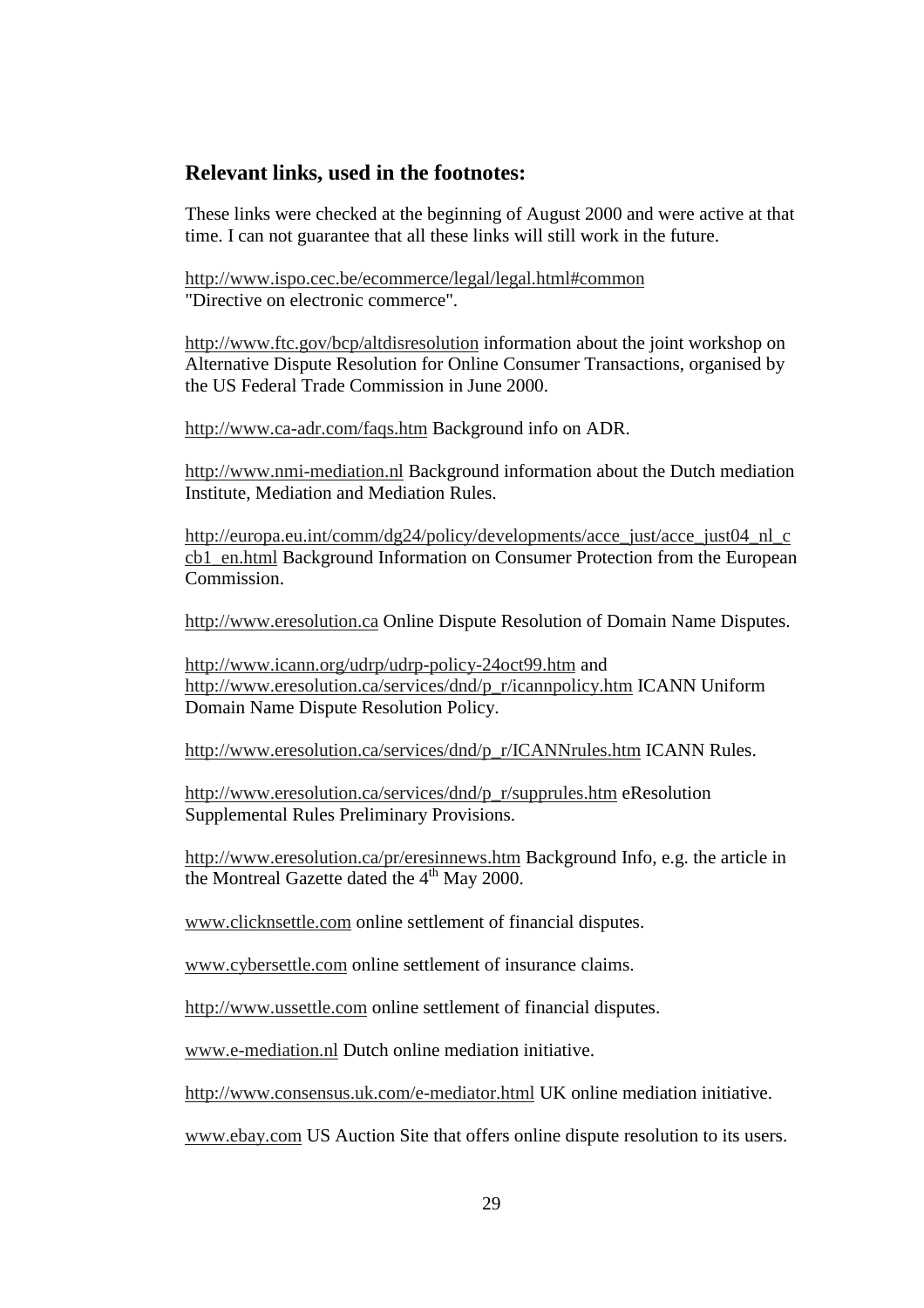## **Relevant links, used in the footnotes:**

These links were checked at the beginning of August 2000 and were active at that time. I can not guarantee that all these links will still work in the future.

http://www.ispo.cec.be/ecommerce/legal/legal.html#common "Directive on electronic commerce".

http://www.ftc.gov/bcp/altdisresolution information about the joint workshop on Alternative Dispute Resolution for Online Consumer Transactions, organised by the US Federal Trade Commission in June 2000.

http://www.ca-adr.com/faqs.htm Background info on ADR.

http://www.nmi-mediation.nl Background information about the Dutch mediation Institute, Mediation and Mediation Rules.

http://europa.eu.int/comm/dg24/policy/developments/acce\_just/acce\_just04\_nl\_c cb1 en.html Background Information on Consumer Protection from the European Commission.

http://www.eresolution.ca Online Dispute Resolution of Domain Name Disputes.

http://www.icann.org/udrp/udrp-policy-24oct99.htm and http://www.eresolution.ca/services/dnd/p\_r/icannpolicy.htm ICANN Uniform Domain Name Dispute Resolution Policy.

http://www.eresolution.ca/services/dnd/p\_r/ICANNrules.htm ICANN Rules.

http://www.eresolution.ca/services/dnd/p\_r/supprules.htm eResolution Supplemental Rules Preliminary Provisions.

http://www.eresolution.ca/pr/eresinnews.htm Background Info, e.g. the article in the Montreal Gazette dated the  $4<sup>th</sup>$  May 2000.

www.clicknsettle.com online settlement of financial disputes.

www.cybersettle.com online settlement of insurance claims.

http://www.ussettle.com online settlement of financial disputes.

www.e-mediation.nl Dutch online mediation initiative.

http://www.consensus.uk.com/e-mediator.html UK online mediation initiative.

www.ebay.com US Auction Site that offers online dispute resolution to its users.